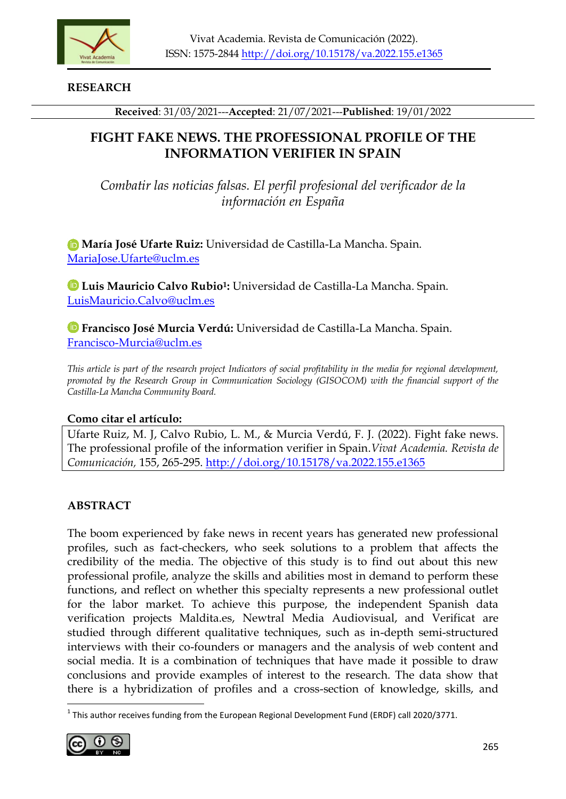

**RESEARCH**

**Received**: 31/03/2021---**Accepted**: 21/07/2021---**Published**: 19/01/2022

# **FIGHT FAKE NEWS. THE PROFESSIONAL PROFILE OF THE INFORMATION VERIFIER IN SPAIN**

*Combatir las noticias falsas. El perfil profesional del verificador de la información en España* 

**María José Ufarte Ruiz:** Universidad de Castilla-La Mancha. Spain. [MariaJose.Ufarte@uclm.es](mailto:MariaJose.Ufarte@uclm.es)

**Luis Mauricio Calvo Rubio1:** Universidad de Castilla-La Mancha. Spain. [LuisMauricio.Calvo@uclm.es](mailto:LuisMauricio.Calvo@uclm.es)

**Francisco José Murcia Verdú:** Universidad de Castilla-La Mancha. Spain. [Francisco-Murcia@uclm.es](mailto:Francisco-Murcia@uclm.es)

*This article is part of the research project Indicators of social profitability in the media for regional development, promoted by the Research Group in Communication Sociology (GISOCOM) with the financial support of the Castilla-La Mancha Community Board.*

## **Como citar el artículo:**

Ufarte Ruiz, M. J, Calvo Rubio, L. M., & Murcia Verdú, F. J. (2022). Fight fake news. The professional profile of the information verifier in Spain.*Vivat Academia. Revista de Comunicación,* 155, 265-295.<http://doi.org/10.15178/va.2022.155.e1365>

# **ABSTRACT**

The boom experienced by fake news in recent years has generated new professional profiles, such as fact-checkers, who seek solutions to a problem that affects the credibility of the media. The objective of this study is to find out about this new professional profile, analyze the skills and abilities most in demand to perform these functions, and reflect on whether this specialty represents a new professional outlet for the labor market. To achieve this purpose, the independent Spanish data verification projects Maldita.es, Newtral Media Audiovisual, and Verificat are studied through different qualitative techniques, such as in-depth semi-structured interviews with their co-founders or managers and the analysis of web content and social media. It is a combination of techniques that have made it possible to draw conclusions and provide examples of interest to the research. The data show that there is a hybridization of profiles and a cross-section of knowledge, skills, and

<sup>-</sup> $^{1}$  This author receives funding from the European Regional Development Fund (ERDF) call 2020/3771.

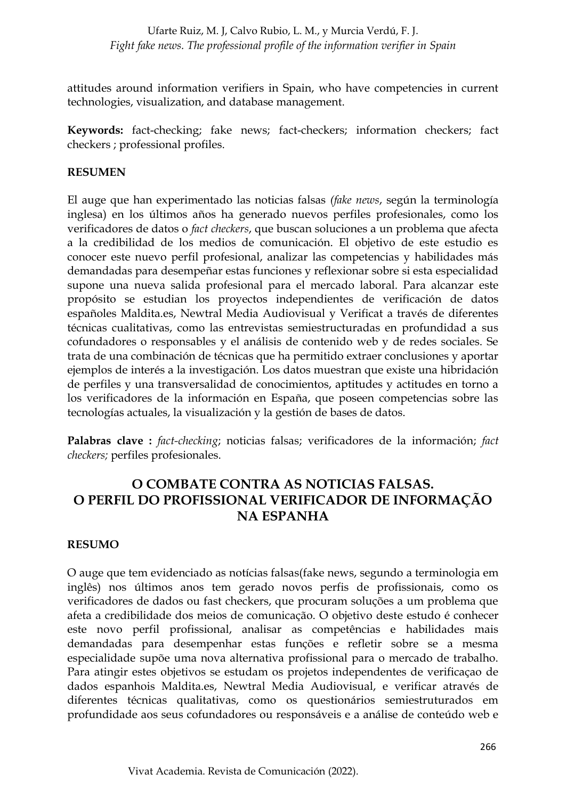attitudes around information verifiers in Spain, who have competencies in current technologies, visualization, and database management.

**Keywords:** fact-checking; fake news; fact-checkers; information checkers; fact checkers ; professional profiles.

#### **RESUMEN**

El auge que han experimentado las noticias falsas *(fake news*, según la terminología inglesa) en los últimos años ha generado nuevos perfiles profesionales, como los verificadores de datos o *fact checkers*, que buscan soluciones a un problema que afecta a la credibilidad de los medios de comunicación. El objetivo de este estudio es conocer este nuevo perfil profesional, analizar las competencias y habilidades más demandadas para desempeñar estas funciones y reflexionar sobre si esta especialidad supone una nueva salida profesional para el mercado laboral. Para alcanzar este propósito se estudian los proyectos independientes de verificación de datos españoles Maldita.es, Newtral Media Audiovisual y Verificat a través de diferentes técnicas cualitativas, como las entrevistas semiestructuradas en profundidad a sus cofundadores o responsables y el análisis de contenido web y de redes sociales. Se trata de una combinación de técnicas que ha permitido extraer conclusiones y aportar ejemplos de interés a la investigación. Los datos muestran que existe una hibridación de perfiles y una transversalidad de conocimientos, aptitudes y actitudes en torno a los verificadores de la información en España, que poseen competencias sobre las tecnologías actuales, la visualización y la gestión de bases de datos.

**Palabras clave :** *fact-checking*; noticias falsas; verificadores de la información; *fact checkers;* perfiles profesionales.

# **O COMBATE CONTRA AS NOTICIAS FALSAS. O PERFIL DO PROFISSIONAL VERIFICADOR DE INFORMAÇÃO NA ESPANHA**

#### **RESUMO**

O auge que tem evidenciado as notícias falsas(fake news, segundo a terminologia em inglês) nos últimos anos tem gerado novos perfis de profissionais, como os verificadores de dados ou fast checkers, que procuram soluções a um problema que afeta a credibilidade dos meios de comunicação. O objetivo deste estudo é conhecer este novo perfil profissional, analisar as competências e habilidades mais demandadas para desempenhar estas funções e refletir sobre se a mesma especialidade supõe uma nova alternativa profissional para o mercado de trabalho. Para atingir estes objetivos se estudam os projetos independentes de verificaçao de dados espanhois Maldita.es, Newtral Media Audiovisual, e verificar através de diferentes técnicas qualitativas, como os questionários semiestruturados em profundidade aos seus cofundadores ou responsáveis e a análise de conteúdo web e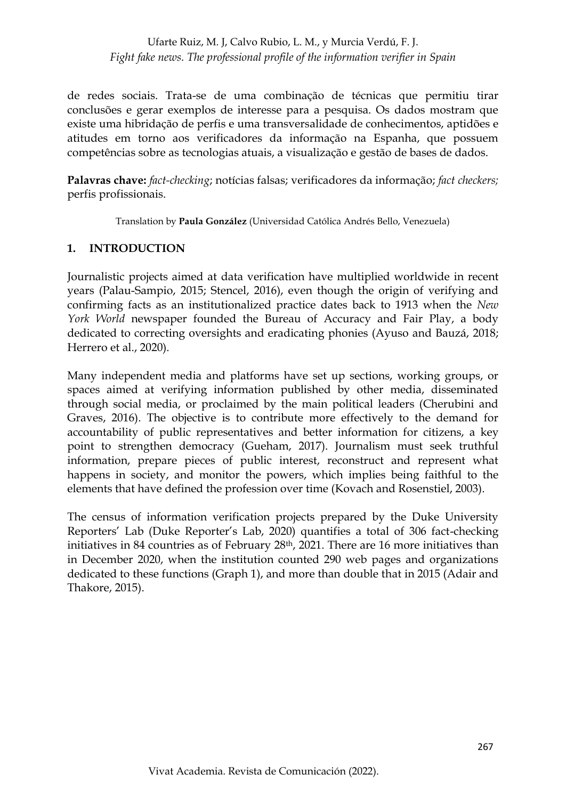de redes sociais. Trata-se de uma combinação de técnicas que permitiu tirar conclusões e gerar exemplos de interesse para a pesquisa. Os dados mostram que existe uma hibridação de perfis e uma transversalidade de conhecimentos, aptidões e atitudes em torno aos verificadores da informação na Espanha, que possuem competências sobre as tecnologias atuais, a visualização e gestão de bases de dados.

**Palavras chave:** *fact-checking*; notícias falsas; verificadores da informação; *fact checkers;*  perfis profissionais.

Translation by **Paula González** (Universidad Católica Andrés Bello, Venezuela)

#### **1. INTRODUCTION**

Journalistic projects aimed at data verification have multiplied worldwide in recent years (Palau-Sampio, 2015; Stencel, 2016), even though the origin of verifying and confirming facts as an institutionalized practice dates back to 1913 when the *New York World* newspaper founded the Bureau of Accuracy and Fair Play, a body dedicated to correcting oversights and eradicating phonies (Ayuso and Bauzá, 2018; Herrero et al., 2020).

Many independent media and platforms have set up sections, working groups, or spaces aimed at verifying information published by other media, disseminated through social media, or proclaimed by the main political leaders (Cherubini and Graves, 2016). The objective is to contribute more effectively to the demand for accountability of public representatives and better information for citizens, a key point to strengthen democracy (Gueham, 2017). Journalism must seek truthful information, prepare pieces of public interest, reconstruct and represent what happens in society, and monitor the powers, which implies being faithful to the elements that have defined the profession over time (Kovach and Rosenstiel, 2003).

The census of information verification projects prepared by the Duke University Reporters' Lab (Duke Reporter's Lab, 2020) quantifies a total of 306 fact-checking initiatives in 84 countries as of February 28<sup>th</sup>, 2021. There are 16 more initiatives than in December 2020, when the institution counted 290 web pages and organizations dedicated to these functions (Graph 1), and more than double that in 2015 (Adair and Thakore, 2015).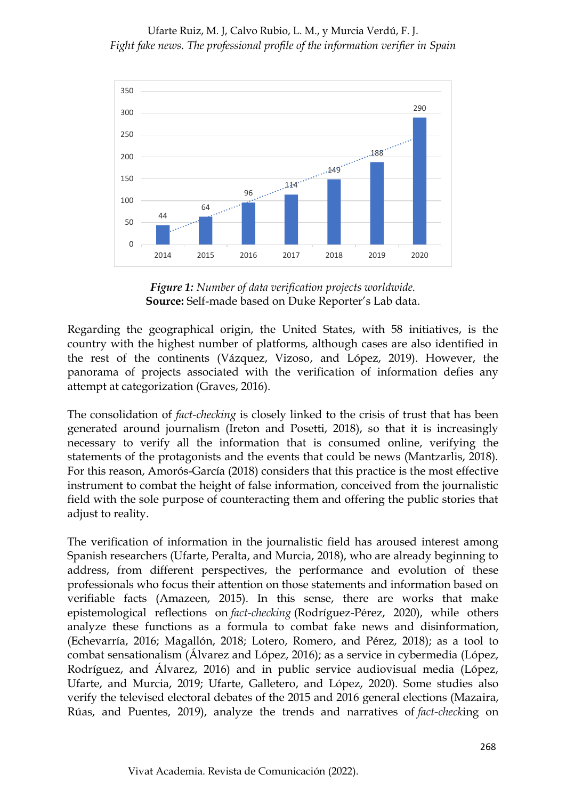

*Figure 1: Number of data verification projects worldwide.* **Source:** Self-made based on Duke Reporter's Lab data.

Regarding the geographical origin, the United States, with 58 initiatives, is the country with the highest number of platforms, although cases are also identified in the rest of the continents (Vázquez, Vizoso, and López, 2019). However, the panorama of projects associated with the verification of information defies any attempt at categorization (Graves, 2016).

The consolidation of *fact-checking* is closely linked to the crisis of trust that has been generated around journalism (Ireton and Posetti, 2018), so that it is increasingly necessary to verify all the information that is consumed online, verifying the statements of the protagonists and the events that could be news (Mantzarlis, 2018). For this reason, Amorós-García (2018) considers that this practice is the most effective instrument to combat the height of false information, conceived from the journalistic field with the sole purpose of counteracting them and offering the public stories that adjust to reality.

The verification of information in the journalistic field has aroused interest among Spanish researchers (Ufarte, Peralta, and Murcia, 2018), who are already beginning to address, from different perspectives, the performance and evolution of these professionals who focus their attention on those statements and information based on verifiable facts (Amazeen, 2015). In this sense, there are works that make epistemological reflections on *fact-checking* (Rodríguez-Pérez, 2020), while others analyze these functions as a formula to combat fake news and disinformation, (Echevarría, 2016; Magallón, 2018; Lotero, Romero, and Pérez, 2018); as a tool to combat sensationalism (Álvarez and López, 2016); as a service in cybermedia (López, Rodríguez, and Álvarez, 2016) and in public service audiovisual media (López, Ufarte, and Murcia, 2019; Ufarte, Galletero, and López, 2020). Some studies also verify the televised electoral debates of the 2015 and 2016 general elections (Mazaira, Rúas, and Puentes, 2019), analyze the trends and narratives of *fact-check*ing on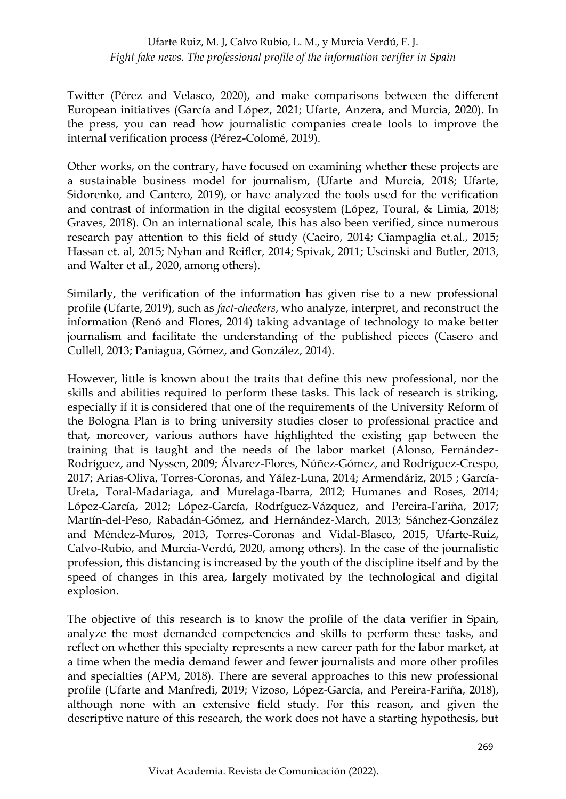Twitter (Pérez and Velasco, 2020), and make comparisons between the different European initiatives (García and López, 2021; Ufarte, Anzera, and Murcia, 2020). In the press, you can read how journalistic companies create tools to improve the internal verification process (Pérez-Colomé, 2019).

Other works, on the contrary, have focused on examining whether these projects are a sustainable business model for journalism, (Ufarte and Murcia, 2018; Ufarte, Sidorenko, and Cantero, 2019), or have analyzed the tools used for the verification and contrast of information in the digital ecosystem (López, Toural, & Limia, 2018; Graves, 2018). On an international scale, this has also been verified, since numerous research pay attention to this field of study (Caeiro, 2014; Ciampaglia et.al., 2015; Hassan et. al, 2015; Nyhan and Reifler, 2014; Spivak, 2011; Uscinski and Butler, 2013, and Walter et al., 2020, among others).

Similarly, the verification of the information has given rise to a new professional profile (Ufarte, 2019), such as *fact-checkers*, who analyze, interpret, and reconstruct the information (Renó and Flores, 2014) taking advantage of technology to make better journalism and facilitate the understanding of the published pieces (Casero and Cullell, 2013; Paniagua, Gómez, and González, 2014).

However, little is known about the traits that define this new professional, nor the skills and abilities required to perform these tasks. This lack of research is striking, especially if it is considered that one of the requirements of the University Reform of the Bologna Plan is to bring university studies closer to professional practice and that, moreover, various authors have highlighted the existing gap between the training that is taught and the needs of the labor market (Alonso, Fernández-Rodríguez, and Nyssen, 2009; Álvarez-Flores, Núñez-Gómez, and Rodríguez-Crespo, 2017; Arias-Oliva, Torres-Coronas, and Yález-Luna, 2014; Armendáriz, 2015 ; García-Ureta, Toral-Madariaga, and Murelaga-Ibarra, 2012; Humanes and Roses, 2014; López-García, 2012; López-García, Rodríguez-Vázquez, and Pereira-Fariña, 2017; Martín-del-Peso, Rabadán-Gómez, and Hernández-March, 2013; Sánchez-González and Méndez-Muros, 2013, Torres-Coronas and Vidal-Blasco, 2015, Ufarte-Ruiz, Calvo-Rubio, and Murcia-Verdú, 2020, among others). In the case of the journalistic profession, this distancing is increased by the youth of the discipline itself and by the speed of changes in this area, largely motivated by the technological and digital explosion.

The objective of this research is to know the profile of the data verifier in Spain, analyze the most demanded competencies and skills to perform these tasks, and reflect on whether this specialty represents a new career path for the labor market, at a time when the media demand fewer and fewer journalists and more other profiles and specialties (APM, 2018). There are several approaches to this new professional profile (Ufarte and Manfredi, 2019; Vizoso, López-García, and Pereira-Fariña, 2018), although none with an extensive field study. For this reason, and given the descriptive nature of this research, the work does not have a starting hypothesis, but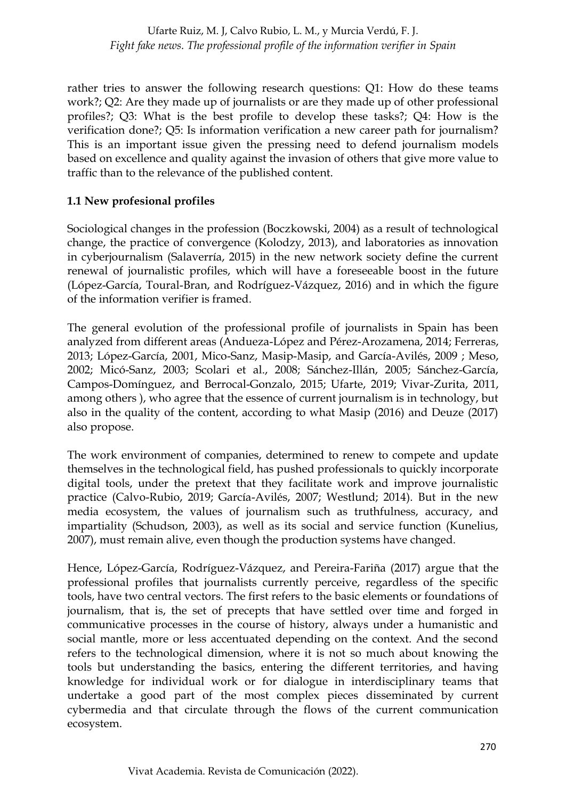rather tries to answer the following research questions: Q1: How do these teams work?; Q2: Are they made up of journalists or are they made up of other professional profiles?; Q3: What is the best profile to develop these tasks?; Q4: How is the verification done?; Q5: Is information verification a new career path for journalism? This is an important issue given the pressing need to defend journalism models based on excellence and quality against the invasion of others that give more value to traffic than to the relevance of the published content.

## **1.1 New profesional profiles**

Sociological changes in the profession (Boczkowski, 2004) as a result of technological change, the practice of convergence (Kolodzy, 2013), and laboratories as innovation in cyberjournalism (Salaverría, 2015) in the new network society define the current renewal of journalistic profiles, which will have a foreseeable boost in the future (López-García, Toural-Bran, and Rodríguez-Vázquez, 2016) and in which the figure of the information verifier is framed.

The general evolution of the professional profile of journalists in Spain has been analyzed from different areas (Andueza-López and Pérez-Arozamena, 2014; Ferreras, 2013; López-García, 2001, Mico-Sanz, Masip-Masip, and García-Avilés, 2009 ; Meso, 2002; Micó-Sanz, 2003; Scolari et al., 2008; Sánchez-Illán, 2005; Sánchez-García, Campos-Domínguez, and Berrocal-Gonzalo, 2015; Ufarte, 2019; Vivar-Zurita, 2011, among others ), who agree that the essence of current journalism is in technology, but also in the quality of the content, according to what Masip (2016) and Deuze (2017) also propose.

The work environment of companies, determined to renew to compete and update themselves in the technological field, has pushed professionals to quickly incorporate digital tools, under the pretext that they facilitate work and improve journalistic practice (Calvo-Rubio, 2019; García-Avilés, 2007; Westlund; 2014). But in the new media ecosystem, the values of journalism such as truthfulness, accuracy, and impartiality (Schudson, 2003), as well as its social and service function (Kunelius, 2007), must remain alive, even though the production systems have changed.

Hence, López-García, Rodríguez-Vázquez, and Pereira-Fariña (2017) argue that the professional profiles that journalists currently perceive, regardless of the specific tools, have two central vectors. The first refers to the basic elements or foundations of journalism, that is, the set of precepts that have settled over time and forged in communicative processes in the course of history, always under a humanistic and social mantle, more or less accentuated depending on the context. And the second refers to the technological dimension, where it is not so much about knowing the tools but understanding the basics, entering the different territories, and having knowledge for individual work or for dialogue in interdisciplinary teams that undertake a good part of the most complex pieces disseminated by current cybermedia and that circulate through the flows of the current communication ecosystem.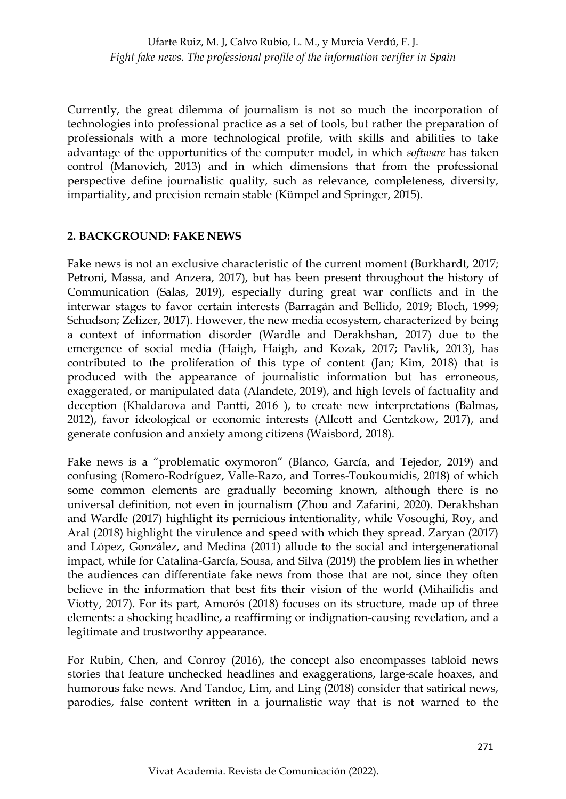Currently, the great dilemma of journalism is not so much the incorporation of technologies into professional practice as a set of tools, but rather the preparation of professionals with a more technological profile, with skills and abilities to take advantage of the opportunities of the computer model, in which *software* has taken control (Manovich, 2013) and in which dimensions that from the professional perspective define journalistic quality, such as relevance, completeness, diversity, impartiality, and precision remain stable (Kümpel and Springer, 2015).

#### **2. BACKGROUND: FAKE NEWS**

Fake news is not an exclusive characteristic of the current moment (Burkhardt, 2017; Petroni, Massa, and Anzera, 2017), but has been present throughout the history of Communication (Salas, 2019), especially during great war conflicts and in the interwar stages to favor certain interests (Barragán and Bellido, 2019; Bloch, 1999; Schudson; Zelizer, 2017). However, the new media ecosystem, characterized by being a context of information disorder (Wardle and Derakhshan, 2017) due to the emergence of social media (Haigh, Haigh, and Kozak, 2017; Pavlik, 2013), has contributed to the proliferation of this type of content (Jan; Kim, 2018) that is produced with the appearance of journalistic information but has erroneous, exaggerated, or manipulated data (Alandete, 2019), and high levels of factuality and deception (Khaldarova and Pantti, 2016 ), to create new interpretations (Balmas, 2012), favor ideological or economic interests (Allcott and Gentzkow, 2017), and generate confusion and anxiety among citizens (Waisbord, 2018).

Fake news is a "problematic oxymoron" (Blanco, García, and Tejedor, 2019) and confusing (Romero-Rodríguez, Valle-Razo, and Torres-Toukoumidis, 2018) of which some common elements are gradually becoming known, although there is no universal definition, not even in journalism (Zhou and Zafarini, 2020). Derakhshan and Wardle (2017) highlight its pernicious intentionality, while Vosoughi, Roy, and Aral (2018) highlight the virulence and speed with which they spread. Zaryan (2017) and López, González, and Medina (2011) allude to the social and intergenerational impact, while for Catalina-García, Sousa, and Silva (2019) the problem lies in whether the audiences can differentiate fake news from those that are not, since they often believe in the information that best fits their vision of the world (Mihailidis and Viotty, 2017). For its part, Amorós (2018) focuses on its structure, made up of three elements: a shocking headline, a reaffirming or indignation-causing revelation, and a legitimate and trustworthy appearance.

For Rubin, Chen, and Conroy (2016), the concept also encompasses tabloid news stories that feature unchecked headlines and exaggerations, large-scale hoaxes, and humorous fake news. And Tandoc, Lim, and Ling (2018) consider that satirical news, parodies, false content written in a journalistic way that is not warned to the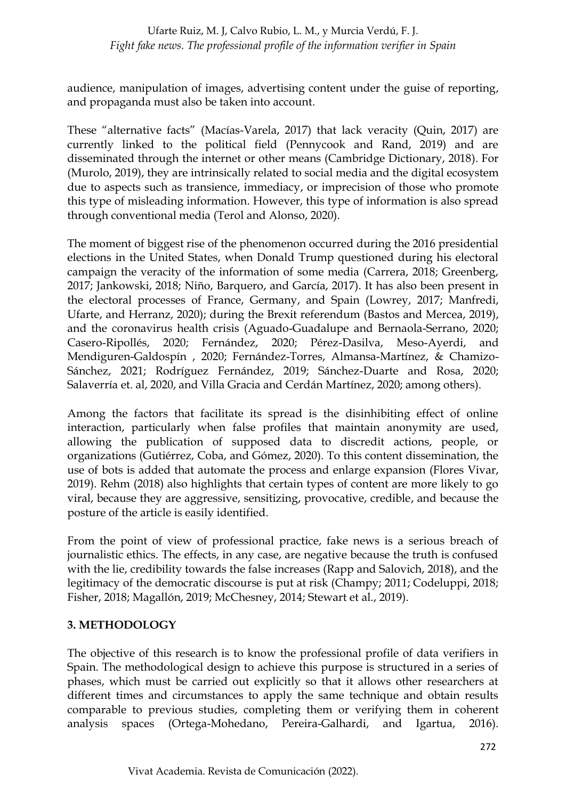audience, manipulation of images, advertising content under the guise of reporting, and propaganda must also be taken into account.

These "alternative facts" (Macías-Varela, 2017) that lack veracity (Quin, 2017) are currently linked to the political field (Pennycook and Rand, 2019) and are disseminated through the internet or other means (Cambridge Dictionary, 2018). For (Murolo, 2019), they are intrinsically related to social media and the digital ecosystem due to aspects such as transience, immediacy, or imprecision of those who promote this type of misleading information. However, this type of information is also spread through conventional media (Terol and Alonso, 2020).

The moment of biggest rise of the phenomenon occurred during the 2016 presidential elections in the United States, when Donald Trump questioned during his electoral campaign the veracity of the information of some media (Carrera, 2018; Greenberg, 2017; Jankowski, 2018; Niño, Barquero, and García, 2017). It has also been present in the electoral processes of France, Germany, and Spain (Lowrey, 2017; Manfredi, Ufarte, and Herranz, 2020); during the Brexit referendum (Bastos and Mercea, 2019), and the coronavirus health crisis (Aguado-Guadalupe and Bernaola-Serrano, 2020; Casero-Ripollés, 2020; Fernández, 2020; Pérez-Dasilva, Meso-Ayerdi, and Mendiguren-Galdospín , 2020; Fernández-Torres, Almansa-Martínez, & Chamizo-Sánchez, 2021; Rodríguez Fernández, 2019; Sánchez-Duarte and Rosa, 2020; Salaverría et. al, 2020, and Villa Gracia and Cerdán Martínez, 2020; among others).

Among the factors that facilitate its spread is the disinhibiting effect of online interaction, particularly when false profiles that maintain anonymity are used, allowing the publication of supposed data to discredit actions, people, or organizations (Gutiérrez, Coba, and Gómez, 2020). To this content dissemination, the use of bots is added that automate the process and enlarge expansion (Flores Vivar, 2019). Rehm (2018) also highlights that certain types of content are more likely to go viral, because they are aggressive, sensitizing, provocative, credible, and because the posture of the article is easily identified.

From the point of view of professional practice, fake news is a serious breach of journalistic ethics. The effects, in any case, are negative because the truth is confused with the lie, credibility towards the false increases (Rapp and Salovich, 2018), and the legitimacy of the democratic discourse is put at risk (Champy; 2011; Codeluppi, 2018; Fisher, 2018; Magallón, 2019; McChesney, 2014; Stewart et al., 2019).

## **3. METHODOLOGY**

The objective of this research is to know the professional profile of data verifiers in Spain. The methodological design to achieve this purpose is structured in a series of phases, which must be carried out explicitly so that it allows other researchers at different times and circumstances to apply the same technique and obtain results comparable to previous studies, completing them or verifying them in coherent analysis spaces (Ortega-Mohedano, Pereira-Galhardi, and Igartua, 2016).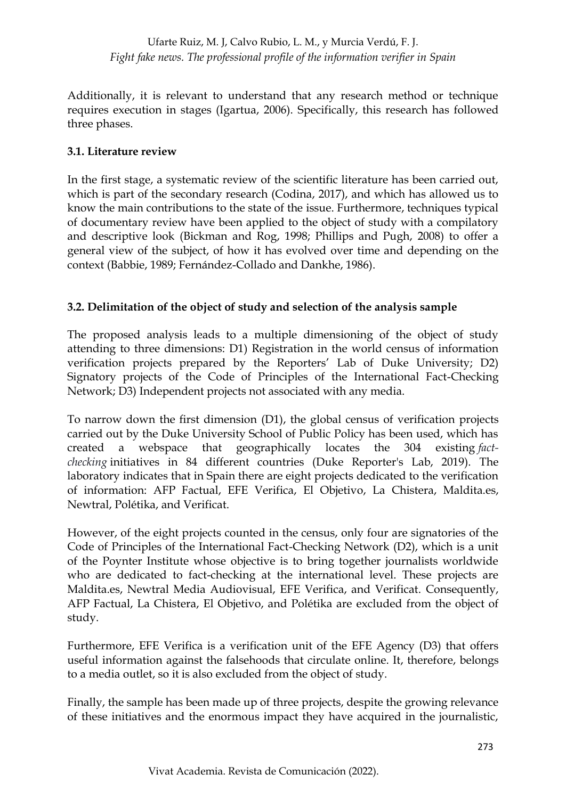Additionally, it is relevant to understand that any research method or technique requires execution in stages (Igartua, 2006). Specifically, this research has followed three phases.

## **3.1. Literature review**

In the first stage, a systematic review of the scientific literature has been carried out, which is part of the secondary research (Codina, 2017), and which has allowed us to know the main contributions to the state of the issue. Furthermore, techniques typical of documentary review have been applied to the object of study with a compilatory and descriptive look (Bickman and Rog, 1998; Phillips and Pugh, 2008) to offer a general view of the subject, of how it has evolved over time and depending on the context (Babbie, 1989; Fernández-Collado and Dankhe, 1986).

# **3.2. Delimitation of the object of study and selection of the analysis sample**

The proposed analysis leads to a multiple dimensioning of the object of study attending to three dimensions: D1) Registration in the world census of information verification projects prepared by the Reporters' Lab of Duke University; D2) Signatory projects of the Code of Principles of the International Fact-Checking Network; D3) Independent projects not associated with any media.

To narrow down the first dimension (D1), the global census of verification projects carried out by the Duke University School of Public Policy has been used, which has created a webspace that geographically locates the 304 existing *factchecking* initiatives in 84 different countries (Duke Reporter's Lab, 2019). The laboratory indicates that in Spain there are eight projects dedicated to the verification of information: AFP Factual, EFE Verifica, El Objetivo, La Chistera, Maldita.es, Newtral, Polétika, and Verificat.

However, of the eight projects counted in the census, only four are signatories of the Code of Principles of the International Fact-Checking Network (D2), which is a unit of the Poynter Institute whose objective is to bring together journalists worldwide who are dedicated to fact-checking at the international level. These projects are Maldita.es, Newtral Media Audiovisual, EFE Verifica, and Verificat. Consequently, AFP Factual, La Chistera, El Objetivo, and Polétika are excluded from the object of study.

Furthermore, EFE Verifica is a verification unit of the EFE Agency (D3) that offers useful information against the falsehoods that circulate online. It, therefore, belongs to a media outlet, so it is also excluded from the object of study.

Finally, the sample has been made up of three projects, despite the growing relevance of these initiatives and the enormous impact they have acquired in the journalistic,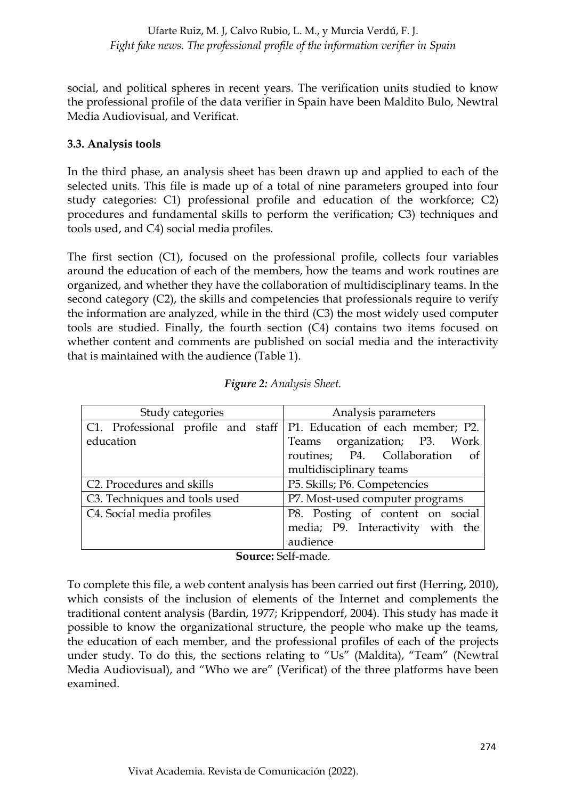social, and political spheres in recent years. The verification units studied to know the professional profile of the data verifier in Spain have been Maldito Bulo, Newtral Media Audiovisual, and Verificat.

### **3.3. Analysis tools**

In the third phase, an analysis sheet has been drawn up and applied to each of the selected units. This file is made up of a total of nine parameters grouped into four study categories: C1) professional profile and education of the workforce; C2) procedures and fundamental skills to perform the verification; C3) techniques and tools used, and C4) social media profiles.

The first section (C1), focused on the professional profile, collects four variables around the education of each of the members, how the teams and work routines are organized, and whether they have the collaboration of multidisciplinary teams. In the second category (C2), the skills and competencies that professionals require to verify the information are analyzed, while in the third (C3) the most widely used computer tools are studied. Finally, the fourth section (C4) contains two items focused on whether content and comments are published on social media and the interactivity that is maintained with the audience (Table 1).

| Study categories                                                       | Analysis parameters               |  |  |
|------------------------------------------------------------------------|-----------------------------------|--|--|
| C1. Professional profile and staff   P1. Education of each member; P2. |                                   |  |  |
| education                                                              | Teams organization; P3. Work      |  |  |
|                                                                        | routines; P4. Collaboration of    |  |  |
|                                                                        | multidisciplinary teams           |  |  |
| C <sub>2</sub> . Procedures and skills                                 | P5. Skills; P6. Competencies      |  |  |
| C <sub>3</sub> . Techniques and tools used                             | P7. Most-used computer programs   |  |  |
| C4. Social media profiles                                              | P8. Posting of content on social  |  |  |
|                                                                        | media; P9. Interactivity with the |  |  |
|                                                                        | audience                          |  |  |

| Figure 2: Analysis Sheet. |  |  |
|---------------------------|--|--|
|                           |  |  |

#### **Source:** Self-made.

To complete this file, a web content analysis has been carried out first (Herring, 2010), which consists of the inclusion of elements of the Internet and complements the traditional content analysis (Bardin, 1977; Krippendorf, 2004). This study has made it possible to know the organizational structure, the people who make up the teams, the education of each member, and the professional profiles of each of the projects under study. To do this, the sections relating to "Us" (Maldita), "Team" (Newtral Media Audiovisual), and "Who we are" (Verificat) of the three platforms have been examined.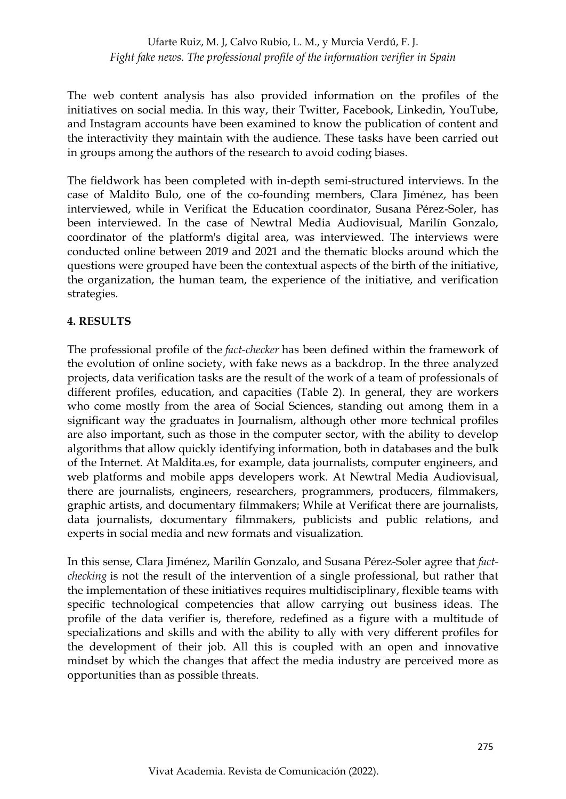The web content analysis has also provided information on the profiles of the initiatives on social media. In this way, their Twitter, Facebook, Linkedin, YouTube, and Instagram accounts have been examined to know the publication of content and the interactivity they maintain with the audience. These tasks have been carried out in groups among the authors of the research to avoid coding biases.

The fieldwork has been completed with in-depth semi-structured interviews. In the case of Maldito Bulo, one of the co-founding members, Clara Jiménez, has been interviewed, while in Verificat the Education coordinator, Susana Pérez-Soler, has been interviewed. In the case of Newtral Media Audiovisual, Marilín Gonzalo, coordinator of the platform's digital area, was interviewed. The interviews were conducted online between 2019 and 2021 and the thematic blocks around which the questions were grouped have been the contextual aspects of the birth of the initiative, the organization, the human team, the experience of the initiative, and verification strategies.

#### **4. RESULTS**

The professional profile of the *fact-checker* has been defined within the framework of the evolution of online society, with fake news as a backdrop. In the three analyzed projects, data verification tasks are the result of the work of a team of professionals of different profiles, education, and capacities (Table 2). In general, they are workers who come mostly from the area of Social Sciences, standing out among them in a significant way the graduates in Journalism, although other more technical profiles are also important, such as those in the computer sector, with the ability to develop algorithms that allow quickly identifying information, both in databases and the bulk of the Internet. At Maldita.es, for example, data journalists, computer engineers, and web platforms and mobile apps developers work. At Newtral Media Audiovisual, there are journalists, engineers, researchers, programmers, producers, filmmakers, graphic artists, and documentary filmmakers; While at Verificat there are journalists, data journalists, documentary filmmakers, publicists and public relations, and experts in social media and new formats and visualization.

In this sense, Clara Jiménez, Marilín Gonzalo, and Susana Pérez-Soler agree that *factchecking* is not the result of the intervention of a single professional, but rather that the implementation of these initiatives requires multidisciplinary, flexible teams with specific technological competencies that allow carrying out business ideas. The profile of the data verifier is, therefore, redefined as a figure with a multitude of specializations and skills and with the ability to ally with very different profiles for the development of their job. All this is coupled with an open and innovative mindset by which the changes that affect the media industry are perceived more as opportunities than as possible threats.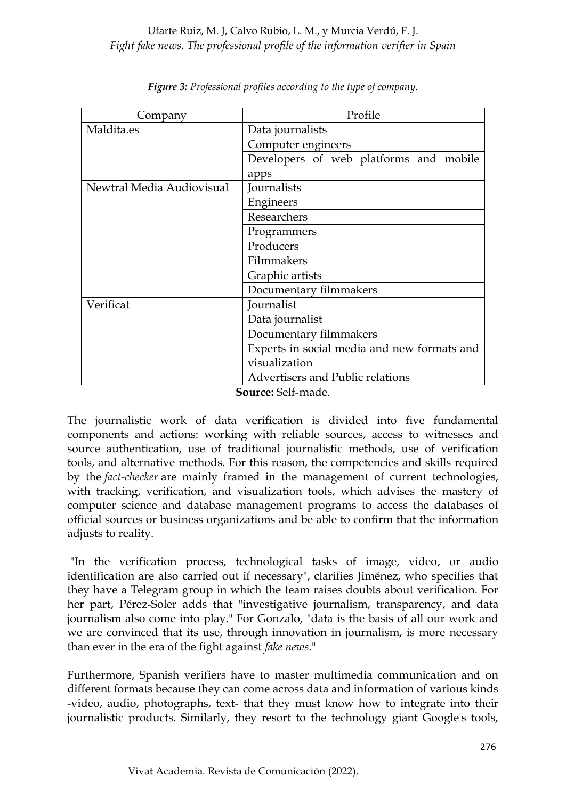| Maldita.es<br>Data journalists<br>Computer engineers<br>apps<br>Newtral Media Audiovisual<br>Journalists<br>Engineers<br>Researchers<br>Programmers<br>Producers<br>Filmmakers<br>Graphic artists<br>Documentary filmmakers | Company   | Profile                                     |  |  |  |
|-----------------------------------------------------------------------------------------------------------------------------------------------------------------------------------------------------------------------------|-----------|---------------------------------------------|--|--|--|
|                                                                                                                                                                                                                             |           |                                             |  |  |  |
|                                                                                                                                                                                                                             |           |                                             |  |  |  |
|                                                                                                                                                                                                                             |           | Developers of web platforms and mobile      |  |  |  |
|                                                                                                                                                                                                                             |           |                                             |  |  |  |
|                                                                                                                                                                                                                             |           |                                             |  |  |  |
|                                                                                                                                                                                                                             |           |                                             |  |  |  |
|                                                                                                                                                                                                                             |           |                                             |  |  |  |
|                                                                                                                                                                                                                             |           |                                             |  |  |  |
|                                                                                                                                                                                                                             |           |                                             |  |  |  |
|                                                                                                                                                                                                                             |           |                                             |  |  |  |
|                                                                                                                                                                                                                             |           |                                             |  |  |  |
|                                                                                                                                                                                                                             |           |                                             |  |  |  |
|                                                                                                                                                                                                                             | Verificat | Journalist                                  |  |  |  |
| Data journalist                                                                                                                                                                                                             |           |                                             |  |  |  |
| Documentary filmmakers                                                                                                                                                                                                      |           |                                             |  |  |  |
|                                                                                                                                                                                                                             |           | Experts in social media and new formats and |  |  |  |
| visualization                                                                                                                                                                                                               |           |                                             |  |  |  |
| <b>Advertisers and Public relations</b>                                                                                                                                                                                     |           |                                             |  |  |  |

*Figure 3: Professional profiles according to the type of company.*

**Source:** Self-made.

The journalistic work of data verification is divided into five fundamental components and actions: working with reliable sources, access to witnesses and source authentication, use of traditional journalistic methods, use of verification tools, and alternative methods. For this reason, the competencies and skills required by the *fact-checker* are mainly framed in the management of current technologies, with tracking, verification, and visualization tools, which advises the mastery of computer science and database management programs to access the databases of official sources or business organizations and be able to confirm that the information adjusts to reality.

"In the verification process, technological tasks of image, video, or audio identification are also carried out if necessary", clarifies Jiménez, who specifies that they have a Telegram group in which the team raises doubts about verification. For her part, Pérez-Soler adds that "investigative journalism, transparency, and data journalism also come into play." For Gonzalo, "data is the basis of all our work and we are convinced that its use, through innovation in journalism, is more necessary than ever in the era of the fight against *fake news*."

Furthermore, Spanish verifiers have to master multimedia communication and on different formats because they can come across data and information of various kinds -video, audio, photographs, text- that they must know how to integrate into their journalistic products. Similarly, they resort to the technology giant Google's tools,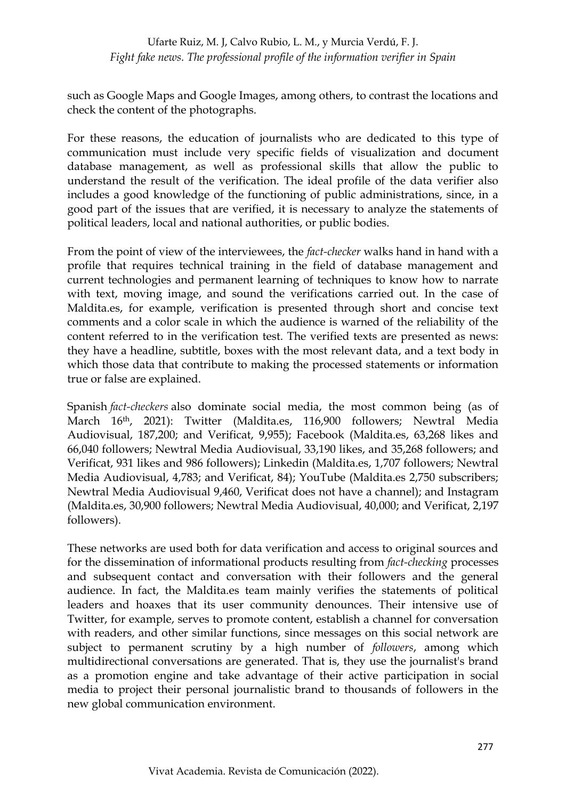such as Google Maps and Google Images, among others, to contrast the locations and check the content of the photographs.

For these reasons, the education of journalists who are dedicated to this type of communication must include very specific fields of visualization and document database management, as well as professional skills that allow the public to understand the result of the verification. The ideal profile of the data verifier also includes a good knowledge of the functioning of public administrations, since, in a good part of the issues that are verified, it is necessary to analyze the statements of political leaders, local and national authorities, or public bodies.

From the point of view of the interviewees, the *fact-checker* walks hand in hand with a profile that requires technical training in the field of database management and current technologies and permanent learning of techniques to know how to narrate with text, moving image, and sound the verifications carried out. In the case of Maldita.es, for example, verification is presented through short and concise text comments and a color scale in which the audience is warned of the reliability of the content referred to in the verification test. The verified texts are presented as news: they have a headline, subtitle, boxes with the most relevant data, and a text body in which those data that contribute to making the processed statements or information true or false are explained.

Spanish *fact-checkers* also dominate social media, the most common being (as of March 16th, 2021): Twitter (Maldita.es, 116,900 followers; Newtral Media Audiovisual, 187,200; and Verificat, 9,955); Facebook (Maldita.es, 63,268 likes and 66,040 followers; Newtral Media Audiovisual, 33,190 likes, and 35,268 followers; and Verificat, 931 likes and 986 followers); Linkedin (Maldita.es, 1,707 followers; Newtral Media Audiovisual, 4,783; and Verificat, 84); YouTube (Maldita.es 2,750 subscribers; Newtral Media Audiovisual 9,460, Verificat does not have a channel); and Instagram (Maldita.es, 30,900 followers; Newtral Media Audiovisual, 40,000; and Verificat, 2,197 followers).

These networks are used both for data verification and access to original sources and for the dissemination of informational products resulting from *fact-checking* processes and subsequent contact and conversation with their followers and the general audience. In fact, the Maldita.es team mainly verifies the statements of political leaders and hoaxes that its user community denounces. Their intensive use of Twitter, for example, serves to promote content, establish a channel for conversation with readers, and other similar functions, since messages on this social network are subject to permanent scrutiny by a high number of *followers*, among which multidirectional conversations are generated. That is, they use the journalist's brand as a promotion engine and take advantage of their active participation in social media to project their personal journalistic brand to thousands of followers in the new global communication environment.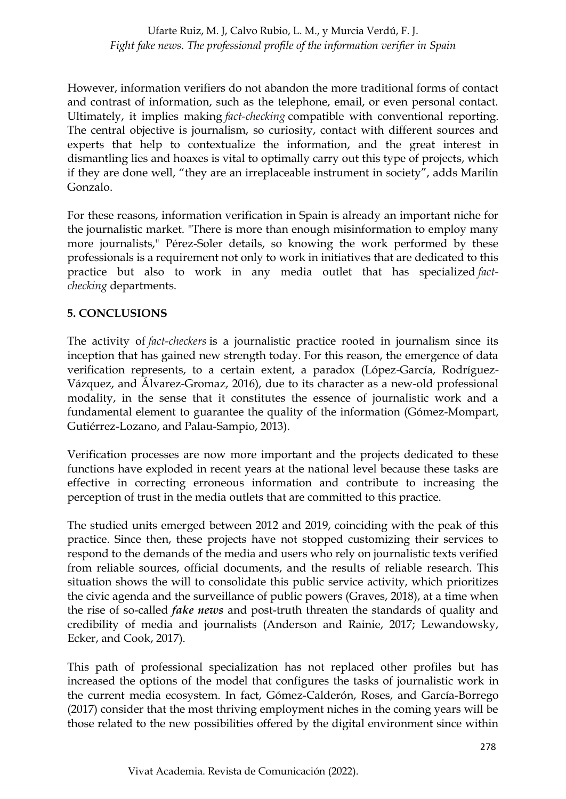However, information verifiers do not abandon the more traditional forms of contact and contrast of information, such as the telephone, email, or even personal contact. Ultimately, it implies making *fact-checking* compatible with conventional reporting. The central objective is journalism, so curiosity, contact with different sources and experts that help to contextualize the information, and the great interest in dismantling lies and hoaxes is vital to optimally carry out this type of projects, which if they are done well, "they are an irreplaceable instrument in society", adds Marilín Gonzalo.

For these reasons, information verification in Spain is already an important niche for the journalistic market. "There is more than enough misinformation to employ many more journalists," Pérez-Soler details, so knowing the work performed by these professionals is a requirement not only to work in initiatives that are dedicated to this practice but also to work in any media outlet that has specialized *factchecking* departments.

## **5. CONCLUSIONS**

The activity of *fact-checkers* is a journalistic practice rooted in journalism since its inception that has gained new strength today. For this reason, the emergence of data verification represents, to a certain extent, a paradox (López-García, Rodríguez-Vázquez, and Álvarez-Gromaz, 2016), due to its character as a new-old professional modality, in the sense that it constitutes the essence of journalistic work and a fundamental element to guarantee the quality of the information (Gómez-Mompart, Gutiérrez-Lozano, and Palau-Sampio, 2013).

Verification processes are now more important and the projects dedicated to these functions have exploded in recent years at the national level because these tasks are effective in correcting erroneous information and contribute to increasing the perception of trust in the media outlets that are committed to this practice.

The studied units emerged between 2012 and 2019, coinciding with the peak of this practice. Since then, these projects have not stopped customizing their services to respond to the demands of the media and users who rely on journalistic texts verified from reliable sources, official documents, and the results of reliable research. This situation shows the will to consolidate this public service activity, which prioritizes the civic agenda and the surveillance of public powers (Graves, 2018), at a time when the rise of so-called *fake news* and post-truth threaten the standards of quality and credibility of media and journalists (Anderson and Rainie, 2017; Lewandowsky, Ecker, and Cook, 2017).

This path of professional specialization has not replaced other profiles but has increased the options of the model that configures the tasks of journalistic work in the current media ecosystem. In fact, Gómez-Calderón, Roses, and García-Borrego (2017) consider that the most thriving employment niches in the coming years will be those related to the new possibilities offered by the digital environment since within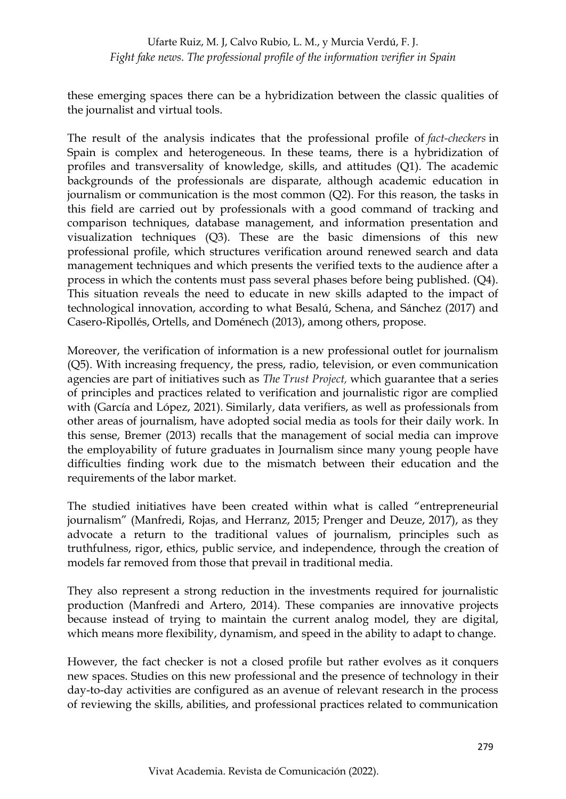these emerging spaces there can be a hybridization between the classic qualities of the journalist and virtual tools.

The result of the analysis indicates that the professional profile of *fact-checkers* in Spain is complex and heterogeneous. In these teams, there is a hybridization of profiles and transversality of knowledge, skills, and attitudes (Q1). The academic backgrounds of the professionals are disparate, although academic education in journalism or communication is the most common (Q2). For this reason, the tasks in this field are carried out by professionals with a good command of tracking and comparison techniques, database management, and information presentation and visualization techniques (Q3). These are the basic dimensions of this new professional profile, which structures verification around renewed search and data management techniques and which presents the verified texts to the audience after a process in which the contents must pass several phases before being published. (Q4). This situation reveals the need to educate in new skills adapted to the impact of technological innovation, according to what Besalú, Schena, and Sánchez (2017) and Casero-Ripollés, Ortells, and Doménech (2013), among others, propose.

Moreover, the verification of information is a new professional outlet for journalism (Q5). With increasing frequency, the press, radio, television, or even communication agencies are part of initiatives such as *The Trust Project,* which guarantee that a series of principles and practices related to verification and journalistic rigor are complied with (García and López, 2021). Similarly, data verifiers, as well as professionals from other areas of journalism, have adopted social media as tools for their daily work. In this sense, Bremer (2013) recalls that the management of social media can improve the employability of future graduates in Journalism since many young people have difficulties finding work due to the mismatch between their education and the requirements of the labor market.

The studied initiatives have been created within what is called "entrepreneurial journalism" (Manfredi, Rojas, and Herranz, 2015; Prenger and Deuze, 2017), as they advocate a return to the traditional values of journalism, principles such as truthfulness, rigor, ethics, public service, and independence, through the creation of models far removed from those that prevail in traditional media.

They also represent a strong reduction in the investments required for journalistic production (Manfredi and Artero, 2014). These companies are innovative projects because instead of trying to maintain the current analog model, they are digital, which means more flexibility, dynamism, and speed in the ability to adapt to change.

However, the fact checker is not a closed profile but rather evolves as it conquers new spaces. Studies on this new professional and the presence of technology in their day-to-day activities are configured as an avenue of relevant research in the process of reviewing the skills, abilities, and professional practices related to communication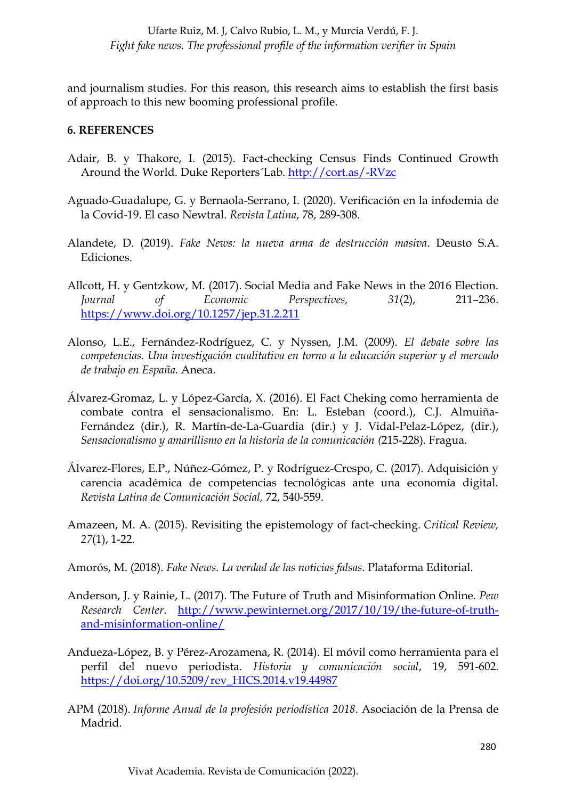and journalism studies. For this reason, this research aims to establish the first basis of approach to this new booming professional profile.

#### **6. REFERENCES**

- Adair, B. y Thakore, I. (2015). Fact-checking Census Finds Continued Growth Around the World. Duke Reporters´Lab.<http://cort.as/-RVzc>
- Aguado-Guadalupe, G. y Bernaola-Serrano, I. (2020). Verificación en la infodemia de la Covid-19. El caso Newtral. *Revista Latina*, 78, 289-308.
- Alandete, D. (2019). *Fake News: la nueva arma de destrucción masiva*. Deusto S.A. Ediciones.
- Allcott, H. y Gentzkow, M. (2017). Social Media and Fake News in the 2016 Election. *Journal of Economic Perspectives, 31*(2), 211–236. <https://www.doi.org/10.1257/jep.31.2.211>
- Alonso, L.E., Fernández-Rodríguez, C. y Nyssen, J.M. (2009). *El debate sobre las competencias. Una investigación cualitativa en torno a la educación superior y el mercado de trabajo en España.* Aneca.
- Álvarez-Gromaz, L. y López-García, X. (2016). El Fact Cheking como herramienta de combate contra el sensacionalismo. En: L. Esteban (coord.), C.J. Almuiña-Fernández (dir.), R. Martín-de-La-Guardia (dir.) y J. Vidal-Pelaz-López, (dir.), *Sensacionalismo y amarillismo en la historia de la comunicación (*215-228). Fragua.
- Álvarez-Flores, E.P., Núñez-Gómez, P. y Rodríguez-Crespo, C. (2017). Adquisición y carencia académica de competencias tecnológicas ante una economía digital. *Revista Latina de Comunicación Social,* 72, 540-559.
- Amazeen, M. A. (2015). Revisiting the epistemology of fact-checking. *Critical Review, 27*(1), 1-22.
- Amorós, M. (2018). *Fake News. La verdad de las noticias falsas*. Plataforma Editorial.
- Anderson, J. y Rainie, L. (2017). The Future of Truth and Misinformation Online. *Pew Research Center*. [http://www.pewinternet.org/2017/10/19/the-future-of-truth](http://www.pewinternet.org/2017/10/19/the-future-of-truth-and-misinformation-online/)[and-misinformation-online/](http://www.pewinternet.org/2017/10/19/the-future-of-truth-and-misinformation-online/)
- Andueza-López, B. y Pérez-Arozamena, R. (2014). El móvil como herramienta para el perfil del nuevo periodista. *Historia y comunicación social*, 19, 591-602. [https://doi.org/10.5209/rev\\_HICS.2014.v19.44987](https://doi.org/10.5209/rev_HICS.2014.v19.44987)
- APM (2018). *Informe Anual de la profesión periodística 2018*. Asociación de la Prensa de Madrid.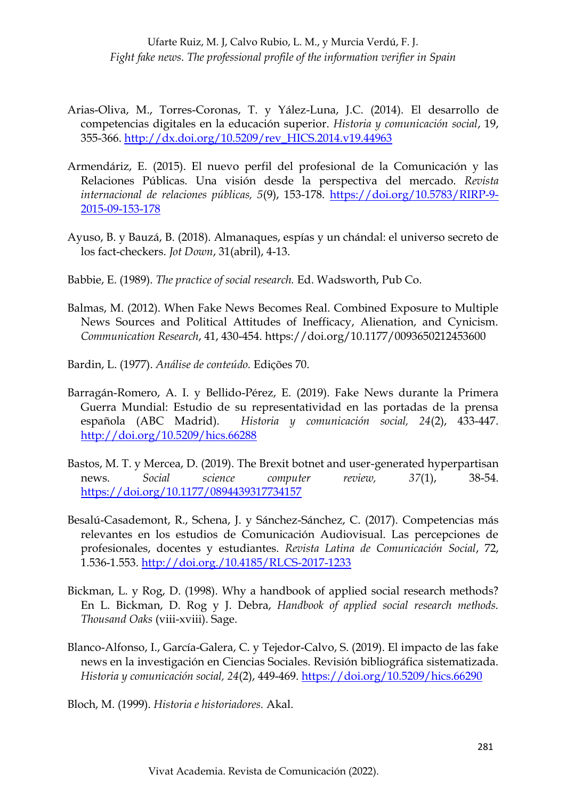- Arias-Oliva, M., Torres-Coronas, T. y Yález-Luna, J.C. (2014). El desarrollo de competencias digitales en la educación superior. *Historia y comunicación social*, 19, 355-366. [http://dx.doi.org/10.5209/rev\\_HICS.2014.v19.44963](http://dx.doi.org/10.5209/rev_HICS.2014.v19.44963)
- Armendáriz, E. (2015). El nuevo perfil del profesional de la Comunicación y las Relaciones Públicas. Una visión desde la perspectiva del mercado. *Revista internacional de relaciones públicas, 5*(9), 153-178. [https://doi.org/10.5783/RIRP-9-](https://doi.org/10.5783/RIRP-9-2015-09-153-178) [2015-09-153-178](https://doi.org/10.5783/RIRP-9-2015-09-153-178)
- Ayuso, B. y Bauzá, B. (2018). Almanaques, espías y un chándal: el universo secreto de los fact-checkers. *Jot Down*, 31(abril), 4-13.
- Babbie, E. (1989). *The practice of social research.* Ed. Wadsworth, Pub Co.
- Balmas, M. (2012). When Fake News Becomes Real. Combined Exposure to Multiple News Sources and Political Attitudes of Inefficacy, Alienation, and Cynicism. *Communication Research*, 41, 430-454.<https://doi.org/10.1177/0093650212453600>
- Bardin, L. (1977). *Análise de conteúdo.* Edições 70.
- Barragán-Romero, A. I. y Bellido-Pérez, E. (2019). Fake News durante la Primera Guerra Mundial: Estudio de su representatividad en las portadas de la prensa española (ABC Madrid). *Historia y comunicación social, 24*(2), 433-447. <http://doi.org/10.5209/hics.66288>
- Bastos, M. T. y Mercea, D. (2019). The Brexit botnet and user-generated hyperpartisan news. *Social science computer review, 37*(1), 38-54. <https://doi.org/10.1177/0894439317734157>
- Besalú-Casademont, R., Schena, J. y Sánchez-Sánchez, C. (2017). Competencias más relevantes en los estudios de Comunicación Audiovisual. Las percepciones de profesionales, docentes y estudiantes. *Revista Latina de Comunicación Social*, 72, 1.536-1.553.<http://doi.org./10.4185/RLCS-2017-1233>
- Bickman, L. y Rog, D. (1998). Why a handbook of applied social research methods? En L. Bickman, D. Rog y J. Debra, *Handbook of applied social research methods. Thousand Oaks* (viii-xviii). Sage.
- Blanco-Alfonso, I., García-Galera, C. y Tejedor-Calvo, S. (2019). El impacto de las fake news en la investigación en Ciencias Sociales. Revisión bibliográfica sistematizada. *Historia y comunicación social, 24*(2), 449-469. <https://doi.org/10.5209/hics.66290>

Bloch, M. (1999). *Historia e historiadores.* Akal.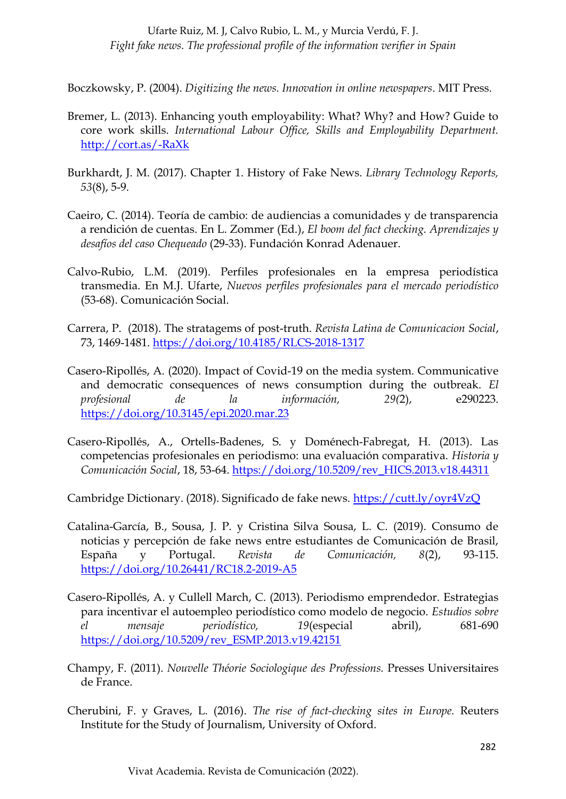Boczkowsky, P. (2004). *Digitizing the news. Innovation in online newspapers*. MIT Press.

- Bremer, L. (2013). Enhancing youth employability: What? Why? and How? Guide to core work skills. *International Labour Office, Skills and Employability Department.* <http://cort.as/-RaXk>
- Burkhardt, J. M. (2017). Chapter 1. History of Fake News. *Library Technology Reports, 53*(8), 5-9.
- Caeiro, C. (2014). Teoría de cambio: de audiencias a comunidades y de transparencia a rendición de cuentas. En L. Zommer (Ed.), *El boom del fact checking. Aprendizajes y desafíos del caso Chequeado* (29-33). Fundación Konrad Adenauer.
- Calvo-Rubio, L.M. (2019). Perfiles profesionales en la empresa periodística transmedia. En M.J. Ufarte, *Nuevos perfiles profesionales para el mercado periodístico* (53-68). Comunicación Social.
- Carrera, P. (2018). The stratagems of post-truth. *Revista Latina de Comunicacion Social*, 73, 1469-1481.<https://doi.org/10.4185/RLCS-2018-1317>
- Casero-Ripollés, A. (2020). Impact of Covid-19 on the media system. Communicative and democratic consequences of news consumption during the outbreak. *El profesional de la información, 29(*2), e290223. <https://doi.org/10.3145/epi.2020.mar.23>
- Casero-Ripollés, A., Ortells-Badenes, S. y Doménech-Fabregat, H. (2013). Las competencias profesionales en periodismo: una evaluación comparativa. *Historia y Comunicación Social*, 18, 53-64. [https://doi.org/10.5209/rev\\_HICS.2013.v18.44311](https://doi.org/10.5209/rev_HICS.2013.v18.44311)

Cambridge Dictionary. (2018). Significado de fake news.<https://cutt.ly/oyr4VzQ>

- Catalina-García, B., Sousa, J. P. y Cristina Silva Sousa, L. C. (2019). Consumo de noticias y percepción de fake news entre estudiantes de Comunicación de Brasil, España y Portugal. *Revista de Comunicación, 8*(2), 93-115. <https://doi.org/10.26441/RC18.2-2019-A5>
- Casero-Ripollés, A. y Cullell March, C. (2013). Periodismo emprendedor. Estrategias para incentivar el autoempleo periodístico como modelo de negocio. *Estudios sobre el mensaje periodístico, 19*(especial abril), 681-690 [https://doi.org/10.5209/rev\\_ESMP.2013.v19.42151](https://doi.org/10.5209/rev_ESMP.2013.v19.42151)
- Champy, F. (2011). *Nouvelle Théorie Sociologique des Professions.* Presses Universitaires de France.
- Cherubini, F. y Graves, L. (2016). *The rise of fact-checking sites in Europe.* Reuters Institute for the Study of Journalism, University of Oxford.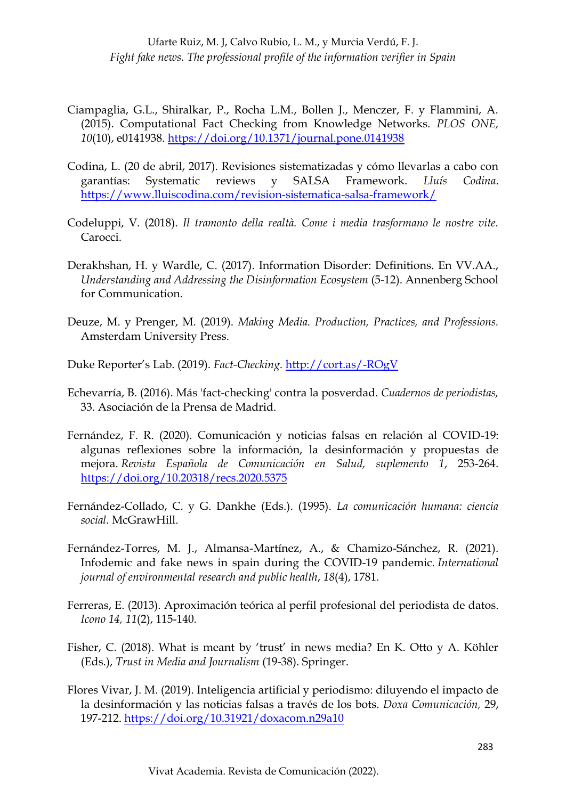- Ciampaglia, G.L., Shiralkar, P., Rocha L.M., Bollen J., Menczer, F. y Flammini, A. (2015). Computational Fact Checking from Knowledge Networks. *PLOS ONE, 10*(10), e0141938.<https://doi.org/10.1371/journal.pone.0141938>
- Codina, L. (20 de abril, 2017). Revisiones sistematizadas y cómo llevarlas a cabo con garantías: Systematic reviews y SALSA Framework. *Lluís Codina*. <https://www.lluiscodina.com/revision-sistematica-salsa-framework/>
- Codeluppi, V. (2018). *Il tramonto della realtà. Come i media trasformano le nostre vite.* Carocci.
- Derakhshan, H. y Wardle, C. (2017). Information Disorder: Definitions. En VV.AA., *Understanding and Addressing the Disinformation Ecosystem* (5-12). Annenberg School for Communication.
- Deuze, M. y Prenger, M. (2019). *Making Media. Production, Practices, and Professions.*  Amsterdam University Press.
- Duke Reporter's Lab. (2019). *Fact-Checking.* <http://cort.as/-ROgV>
- Echevarría, B. (2016). Más 'fact-checking' contra la posverdad. *Cuadernos de periodistas,*  33. Asociación de la Prensa de Madrid.
- Fernández, F. R. (2020). Comunicación y noticias falsas en relación al COVID-19: algunas reflexiones sobre la información, la desinformación y propuestas de mejora. *Revista Española de Comunicación en Salud, suplemento 1*, 253-264. <https://doi.org/10.20318/recs.2020.5375>
- Fernández-Collado, C. y G. Dankhe (Eds.). (1995). *La comunicación humana: ciencia social.* McGrawHill.
- Fernández-Torres, M. J., Almansa-Martínez, A., & Chamizo-Sánchez, R. (2021). Infodemic and fake news in spain during the COVID-19 pandemic. *International journal of environmental research and public health*, *18*(4), 1781.
- Ferreras, E. (2013). Aproximación teórica al perfil profesional del periodista de datos. *Icono 14, 11*(2), 115-140.
- Fisher, C. (2018). What is meant by 'trust' in news media? En K. Otto y A. Köhler (Eds.), *Trust in Media and Journalism* (19-38). Springer.
- Flores Vivar, J. M. (2019). Inteligencia artificial y periodismo: diluyendo el impacto de la desinformación y las noticias falsas a través de los bots. *Doxa Comunicación,* 29, 197-212.<https://doi.org/10.31921/doxacom.n29a10>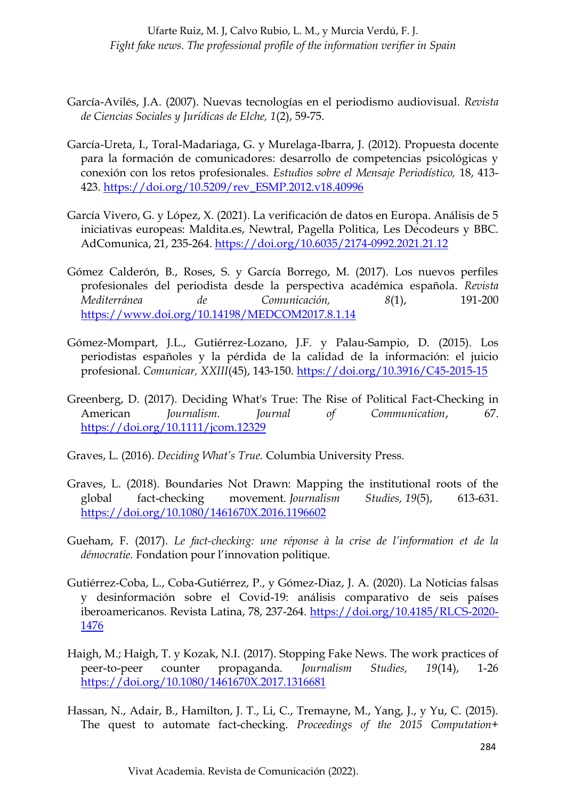- García-Avilés, J.A. (2007). Nuevas tecnologías en el periodismo audiovisual. *Revista de Ciencias Sociales y Jurídicas de Elche, 1*(2), 59-75.
- García-Ureta, I., Toral-Madariaga, G. y Murelaga-Ibarra, J. (2012). Propuesta docente para la formación de comunicadores: desarrollo de competencias psicológicas y conexión con los retos profesionales. *Estudios sobre el Mensaje Periodístico,* 18, 413- 423. [https://doi.org/10.5209/rev\\_ESMP.2012.v18.40996](https://doi.org/10.5209/rev_ESMP.2012.v18.40996)
- García Vivero, G. y López, X. (2021). La verificación de datos en Europa. Análisis de 5 iniciativas europeas: Maldita.es, Newtral, Pagella Politica, Les Décodeurs y BBC. AdComunica, 21, 235-264.<https://doi.org/10.6035/2174-0992.2021.21.12>
- Gómez Calderón, B., Roses, S. y García Borrego, M. (2017). Los nuevos perfiles profesionales del periodista desde la perspectiva académica española. *Revista Mediterránea de Comunicación, 8*(1), 191-200 <https://www.doi.org/10.14198/MEDCOM2017.8.1.14>
- Gómez-Mompart, J.L., Gutiérrez-Lozano, J.F. y Palau-Sampio, D. (2015). Los periodistas españoles y la pérdida de la calidad de la información: el juicio profesional. *Comunicar, XXIII*(45), 143-150.<https://doi.org/10.3916/C45-2015-15>
- Greenberg, D. (2017). Deciding What's True: The Rise of Political Fact-Checking in American *Journalism. Journal of Communication*, 67. <https://doi.org/10.1111/jcom.12329>
- Graves, L. (2016). *Deciding What's True.* Columbia University Press.
- Graves, L. (2018). Boundaries Not Drawn: Mapping the institutional roots of the global fact-checking movement. *Journalism Studies, 19*(5), 613-631. <https://doi.org/10.1080/1461670X.2016.1196602>
- Gueham, F. (2017). *Le fact-checking: une réponse à la crise de l'information et de la démocratie.* Fondation pour l'innovation politique.
- Gutiérrez-Coba, L., Coba-Gutiérrez, P., y Gómez-Diaz, J. A. (2020). La Noticias falsas y desinformación sobre el Covid-19: análisis comparativo de seis países iberoamericanos. Revista Latina, 78, 237-264. [https://doi.org/10.4185/RLCS-2020-](https://doi.org/10.4185/RLCS-2020-1476) [1476](https://doi.org/10.4185/RLCS-2020-1476)
- Haigh, M.; Haigh, T. y Kozak, N.I. (2017). Stopping Fake News. The work practices of peer-to-peer counter propaganda. *Journalism Studies, 19*(14), 1-26 <https://doi.org/10.1080/1461670X.2017.1316681>
- Hassan, N., Adair, B., Hamilton, J. T., Li, C., Tremayne, M., Yang, J., y Yu, C. (2015). The quest to automate fact-checking. *Proceedings of the 2015 Computation+*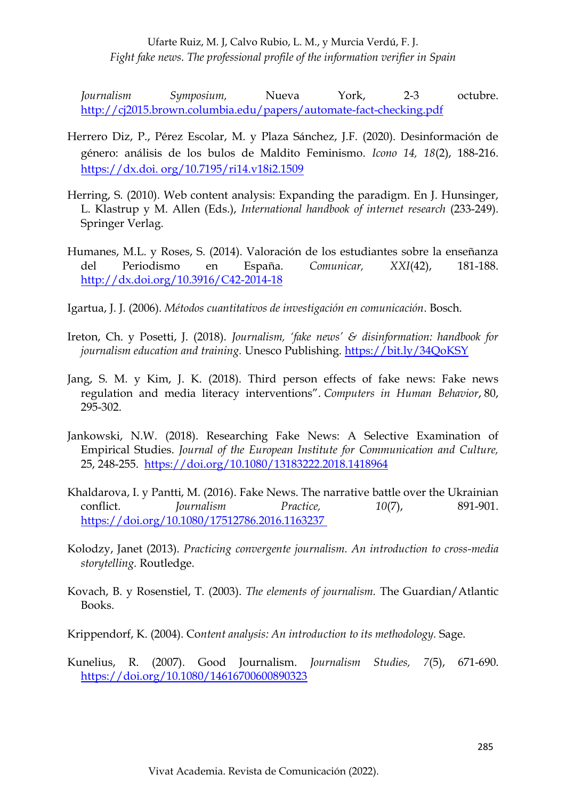*Journalism Symposium,* Nueva York, 2-3 octubre. <http://cj2015.brown.columbia.edu/papers/automate-fact-checking.pdf>

- Herrero Diz, P., Pérez Escolar, M. y Plaza Sánchez, J.F. (2020). Desinformación de género: análisis de los bulos de Maldito Feminismo. *Icono 14, 18*(2), 188-216. https://dx.doi. org/10.7195/ri14.v18i2.1509
- Herring, S. (2010). Web content analysis: Expanding the paradigm. En J. Hunsinger, L. Klastrup y M. Allen (Eds.), *International handbook of internet research* (233-249). Springer Verlag.
- Humanes, M.L. y Roses, S. (2014). Valoración de los estudiantes sobre la enseñanza del Periodismo en España. *Comunicar, XXI*(42), 181-188. <http://dx.doi.org/10.3916/C42-2014-18>
- Igartua, J. J. (2006). *Métodos cuantitativos de investigación en comunicación*. Bosch.
- Ireton, Ch. y Posetti, J. (2018). *Journalism, 'fake news' & disinformation: handbook for journalism education and training.* Unesco Publishing.<https://bit.ly/34QoKSY>
- Jang, S. M. y Kim, J. K. (2018). Third person effects of fake news: Fake news regulation and media literacy interventions". *Computers in Human Behavior*, 80, 295-302.
- Jankowski, N.W. (2018). Researching Fake News: A Selective Examination of Empirical Studies. *Journal of the European Institute for Communication and Culture,* 25, 248-255. <https://doi.org/10.1080/13183222.2018.1418964>
- Khaldarova, I. y Pantti, M. (2016). Fake News. The narrative battle over the Ukrainian conflict. *Journalism Practice, 10*(7), 891-901. <https://doi.org/10.1080/17512786.2016.1163237>
- Kolodzy, Janet (2013). *Practicing convergente journalism. An introduction to cross-media storytelling.* Routledge.
- Kovach, B. y Rosenstiel, T. (2003). *The elements of journalism.* The Guardian/Atlantic Books.

Krippendorf, K. (2004). Co*ntent analysis: An introduction to its methodology.* Sage.

Kunelius, R. (2007). Good Journalism. *Journalism Studies, 7*(5), 671-690. <https://doi.org/10.1080/14616700600890323>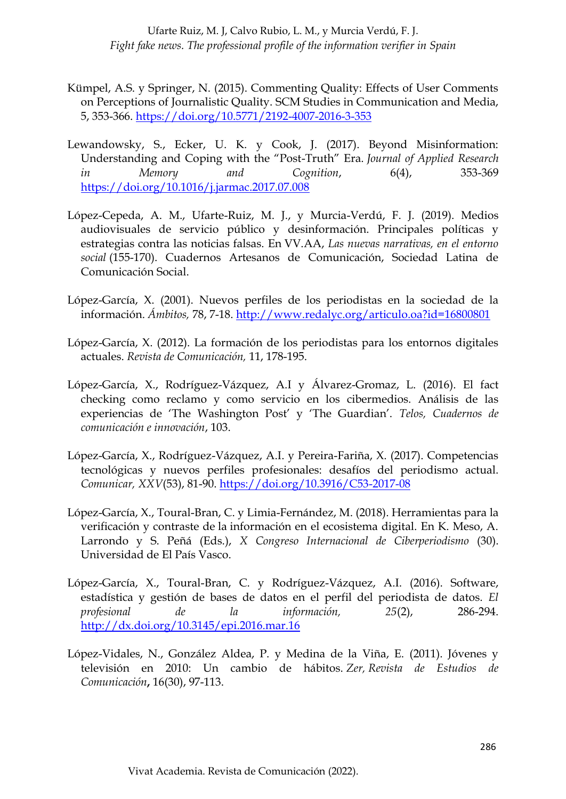- Kümpel, A.S. y Springer, N. (2015). Commenting Quality: Effects of User Comments on Perceptions of Journalistic Quality. SCM Studies in Communication and Media, 5, 353-366.<https://doi.org/10.5771/2192-4007-2016-3-353>
- Lewandowsky, S., Ecker, U. K. y Cook, J. (2017). Beyond Misinformation: Understanding and Coping with the "Post-Truth" Era. *Journal of Applied Research in Memory and Cognition*, 6(4), 353-369 <https://doi.org/10.1016/j.jarmac.2017.07.008>
- López-Cepeda, A. M., Ufarte-Ruiz, M. J., y Murcia-Verdú, F. J. (2019). Medios audiovisuales de servicio público y desinformación. Principales políticas y estrategias contra las noticias falsas. En VV.AA, *Las nuevas narrativas, en el entorno social* (155-170). Cuadernos Artesanos de Comunicación, Sociedad Latina de Comunicación Social.
- López-García, X. (2001). Nuevos perfiles de los periodistas en la sociedad de la información. *Ámbitos,* 78, 7-18.<http://www.redalyc.org/articulo.oa?id=16800801>
- López-García, X. (2012). La formación de los periodistas para los entornos digitales actuales. *Revista de Comunicación,* 11, 178-195.
- López-García, X., Rodríguez-Vázquez, A.I y Álvarez-Gromaz, L. (2016). El fact checking como reclamo y como servicio en los cibermedios. Análisis de las experiencias de 'The Washington Post' y 'The Guardian'. *Telos, Cuadernos de comunicación e innovación*, 103.
- López-García, X., Rodríguez-Vázquez, A.I. y Pereira-Fariña, X. (2017). Competencias tecnológicas y nuevos perfiles profesionales: desafíos del periodismo actual. *Comunicar, XXV*(53), 81-90.<https://doi.org/10.3916/C53-2017-08>
- López-García, X., Toural-Bran, C. y Limia-Fernández, M. (2018). Herramientas para la verificación y contraste de la información en el ecosistema digital. En K. Meso, A. Larrondo y S. Peñá (Eds.), *X Congreso Internacional de Ciberperiodismo* (30). Universidad de El País Vasco.
- López-García, X., Toural-Bran, C. y Rodríguez-Vázquez, A.I. (2016). Software, estadística y gestión de bases de datos en el perfil del periodista de datos. *El profesional de la información, 25*(2), 286-294. <http://dx.doi.org/10.3145/epi.2016.mar.16>
- López-Vidales, N., González Aldea, P. y Medina de la Viña, E. (2011). Jóvenes y televisión en 2010: Un cambio de hábitos. *Zer, Revista de Estudios de Comunicación***,** 16(30), 97-113.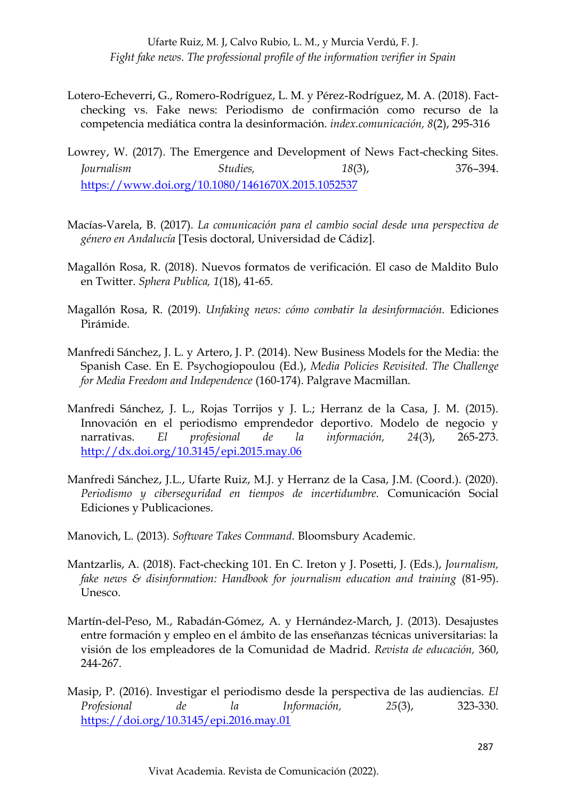- Lotero-Echeverri, G., Romero-Rodríguez, L. M. y Pérez-Rodríguez, M. A. (2018). Factchecking vs. Fake news: Periodismo de confirmación como recurso de la competencia mediática contra la desinformación. *index.comunicación, 8*(2), 295-316
- Lowrey, W. (2017). The Emergence and Development of News Fact-checking Sites. *Journalism Studies, 18*(3), 376–394. <https://www.doi.org/10.1080/1461670X.2015.1052537>
- Macías-Varela, B. (2017). *La comunicación para el cambio social desde una perspectiva de género en Andalucía* [Tesis doctoral, Universidad de Cádiz].
- Magallón Rosa, R. (2018). Nuevos formatos de verificación. El caso de Maldito Bulo en Twitter. *Sphera Publica, 1*(18), 41-65.
- Magallón Rosa, R. (2019). *Unfaking news: cómo combatir la desinformación.* Ediciones Pirámide.
- Manfredi Sánchez, J. L. y Artero, J. P. (2014). New Business Models for the Media: the Spanish Case. En E. Psychogiopoulou (Ed.), *Media Policies Revisited. The Challenge for Media Freedom and Independence* (160-174). Palgrave Macmillan.
- Manfredi Sánchez, J. L., Rojas Torrijos y J. L.; Herranz de la Casa, J. M. (2015). Innovación en el periodismo emprendedor deportivo. Modelo de negocio y narrativas. *El profesional de la información, 24*(3), 265-273. <http://dx.doi.org/10.3145/epi.2015.may.06>
- Manfredi Sánchez, J.L., Ufarte Ruiz, M.J. y Herranz de la Casa, J.M. (Coord.). (2020). *Periodismo y ciberseguridad en tiempos de incertidumbre.* Comunicación Social Ediciones y Publicaciones.
- Manovich, L. (2013). *Software Takes Command.* Bloomsbury Academic.
- Mantzarlis, A. (2018). Fact-checking 101. En C. Ireton y J. Posetti, J. (Eds.), *Journalism, fake news & disinformation: Handbook for journalism education and training* (81-95). Unesco.
- Martín-del-Peso, M., Rabadán-Gómez, A. y Hernández-March, J. (2013). Desajustes entre formación y empleo en el ámbito de las enseñanzas técnicas universitarias: la visión de los empleadores de la Comunidad de Madrid. *Revista de educación,* 360, 244-267.
- Masip, P. (2016). Investigar el periodismo desde la perspectiva de las audiencias. *El Profesional de la Información, 25*(3), 323-330. <https://doi.org/10.3145/epi.2016.may.01>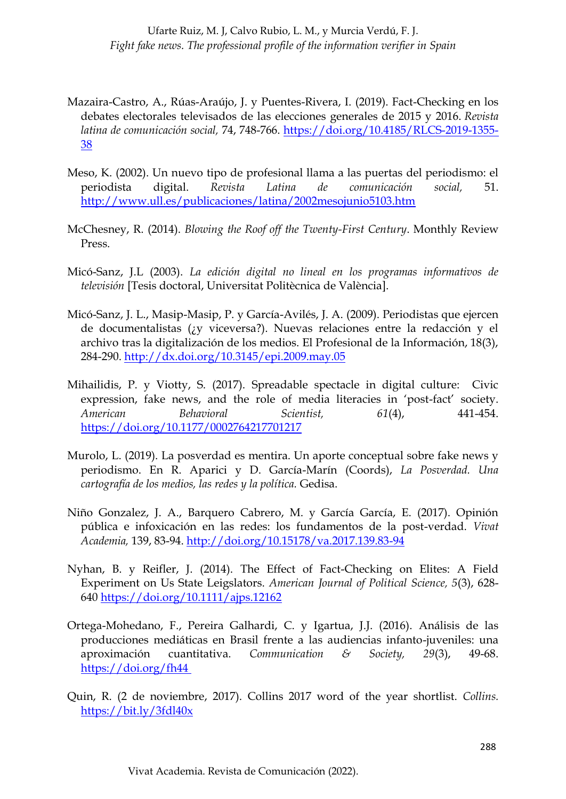- Mazaira-Castro, A., Rúas-Araújo, J. y Puentes-Rivera, I. (2019). Fact-Checking en los debates electorales televisados de las elecciones generales de 2015 y 2016. *Revista latina de comunicación social,* 74, 748-766. [https://doi.org/10.4185/RLCS-2019-1355-](https://doi.org/10.4185/RLCS-2019-1355-38) [38](https://doi.org/10.4185/RLCS-2019-1355-38)
- Meso, K. (2002). Un nuevo tipo de profesional llama a las puertas del periodismo: el periodista digital. *Revista Latina de comunicación social,* 51. <http://www.ull.es/publicaciones/latina/2002mesojunio5103.htm>
- McChesney, R. (2014). *Blowing the Roof off the Twenty-First Century*. Monthly Review Press.
- Micó-Sanz, J.L (2003). *La edición digital no lineal en los programas informativos de televisión* [Tesis doctoral, Universitat Politècnica de València].
- Micó-Sanz, J. L., Masip-Masip, P. y García-Avilés, J. A. (2009). Periodistas que ejercen de documentalistas (¿y viceversa?). Nuevas relaciones entre la redacción y el archivo tras la digitalización de los medios. El Profesional de la Información, 18(3), 284-290.<http://dx.doi.org/10.3145/epi.2009.may.05>
- Mihailidis, P. y Viotty, S. (2017). Spreadable spectacle in digital culture: Civic expression, fake news, and the role of media literacies in 'post-fact' society. *American Behavioral Scientist, 61*(4), 441-454. <https://doi.org/10.1177/0002764217701217>
- Murolo, L. (2019). La posverdad es mentira. Un aporte conceptual sobre fake news y periodismo. En R. Aparici y D. García-Marín (Coords), *La Posverdad. Una cartografía de los medios, las redes y la política.* Gedisa.
- Niño Gonzalez, J. A., Barquero Cabrero, M. y García García, E. (2017). Opinión pública e infoxicación en las redes: los fundamentos de la post-verdad. *Vivat Academia,* 139, 83-94.<http://doi.org/10.15178/va.2017.139.83-94>
- Nyhan, B. y Reifler, J. (2014). The Effect of Fact-Checking on Elites: A Field Experiment on Us State Leigslators. *American Journal of Political Science, 5*(3), 628- 640<https://doi.org/10.1111/ajps.12162>
- Ortega-Mohedano, F., Pereira Galhardi, C. y Igartua, J.J. (2016). Análisis de las producciones mediáticas en Brasil frente a las audiencias infanto-juveniles: una aproximación cuantitativa. *Communication & Society, 29*(3), 49-68. <https://doi.org/fh44>
- Quin, R. (2 de noviembre, 2017). Collins 2017 word of the year shortlist. *Collins.* <https://bit.ly/3fdl40x>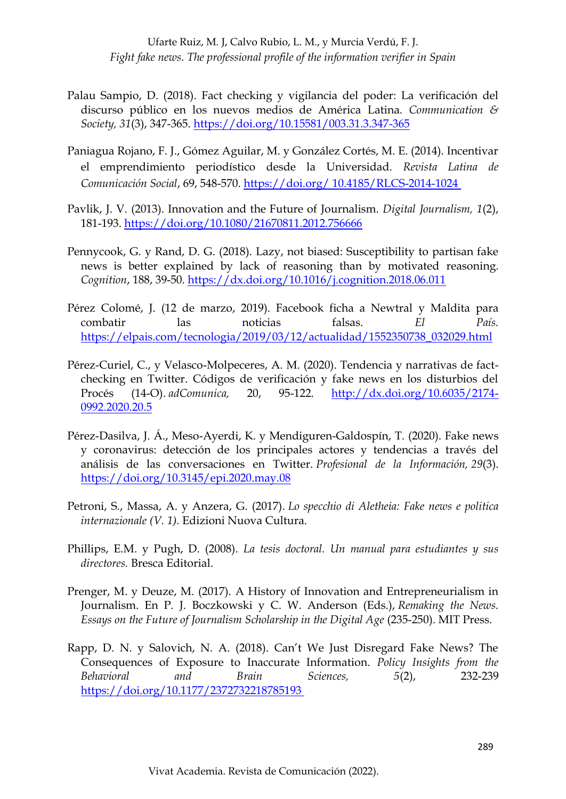- Palau Sampio, D. (2018). Fact checking y vigilancia del poder: La verificación del discurso público en los nuevos medios de América Latina. *Communication & Society, 31*(3), 347-365. <https://doi.org/10.15581/003.31.3.347-365>
- Paniagua Rojano, F. J., Gómez Aguilar, M. y González Cortés, M. E. (2014). Incentivar el emprendimiento periodístico desde la Universidad. *Revista Latina de Comunicación Social*, 69, 548-570. https://doi.org/ 10.4185/RLCS-2014-1024
- Pavlik, J. V. (2013). Innovation and the Future of Journalism. *Digital Journalism, 1*(2), 181-193.<https://doi.org/10.1080/21670811.2012.756666>
- Pennycook, G. y Rand, D. G. (2018). Lazy, not biased: Susceptibility to partisan fake news is better explained by lack of reasoning than by motivated reasoning. *Cognition*, 188, 39-50.<https://dx.doi.org/10.1016/j.cognition.2018.06.011>
- Pérez Colomé, J. (12 de marzo, 2019). Facebook ficha a Newtral y Maldita para combatir las noticias falsas. *El País.*  [https://elpais.com/tecnologia/2019/03/12/actualidad/1552350738\\_032029.html](https://elpais.com/tecnologia/2019/03/12/actualidad/1552350738_032029.html)
- Pérez-Curiel, C., y Velasco-Molpeceres, A. M. (2020). Tendencia y narrativas de factchecking en Twitter. Códigos de verificación y fake news en los disturbios del Procés (14-O). *adComunica,* 20, 95-122. [http://dx.doi.org/10.6035/2174-](http://dx.doi.org/10.6035/2174-0992.2020.20.5) [0992.2020.20.5](http://dx.doi.org/10.6035/2174-0992.2020.20.5)
- Pérez-Dasilva, J. Á., Meso-Ayerdi, K. y Mendiguren-Galdospín, T. (2020). Fake news y coronavirus: detección de los principales actores y tendencias a través del análisis de las conversaciones en Twitter. *Profesional de la Información, 29*(3). <https://doi.org/10.3145/epi.2020.may.08>
- Petroni, S., Massa, A. y Anzera, G. (2017). *Lo specchio di Aletheia: Fake news e politica internazionale (V. 1).* Edizioni Nuova Cultura.
- Phillips, E.M. y Pugh, D. (2008). *La tesis doctoral. Un manual para estudiantes y sus directores.* Bresca Editorial.
- Prenger, M. y Deuze, M. (2017). A History of Innovation and Entrepreneurialism in Journalism. En P. J. Boczkowski y C. W. Anderson (Eds.), *Remaking the News. Essays on the Future of Journalism Scholarship in the Digital Age* (235-250). MIT Press.
- Rapp, D. N. y Salovich, N. A. (2018). Can't We Just Disregard Fake News? The Consequences of Exposure to Inaccurate Information. *Policy Insights from the Behavioral and Brain Sciences, 5*(2), 232-239 <https://doi.org/10.1177/2372732218785193>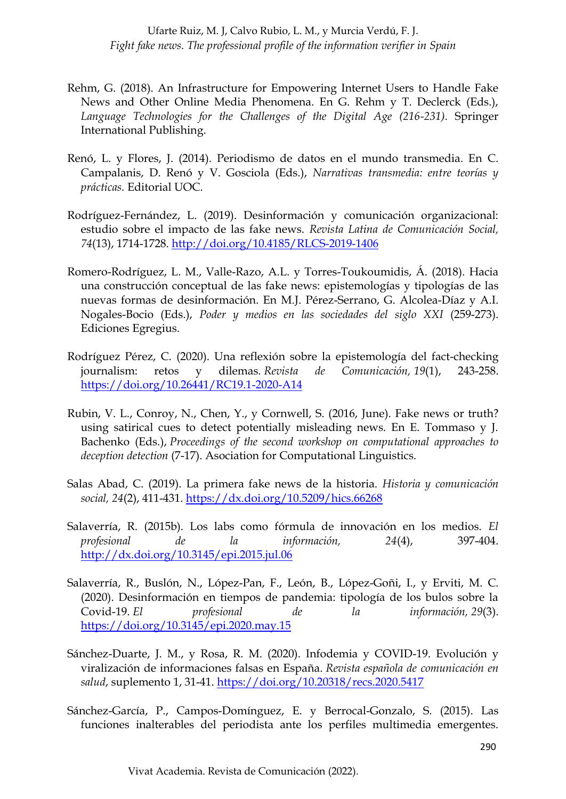- Rehm, G. (2018). An Infrastructure for Empowering Internet Users to Handle Fake News and Other Online Media Phenomena. En G. Rehm y T. Declerck (Eds.), *Language Technologies for the Challenges of the Digital Age (216-231).* Springer International Publishing.
- Renó, L. y Flores, J. (2014). Periodismo de datos en el mundo transmedia. En C. Campalanis, D. Renó y V. Gosciola (Eds.), *Narrativas transmedia: entre teorías y prácticas.* Editorial UOC.
- Rodríguez-Fernández, L. (2019). Desinformación y comunicación organizacional: estudio sobre el impacto de las fake news. *Revista Latina de Comunicación Social, 74*(13), 1714-1728.<http://doi.org/10.4185/RLCS-2019-1406>
- Romero-Rodríguez, L. M., Valle-Razo, A.L. y Torres-Toukoumidis, Á. (2018). Hacia una construcción conceptual de las fake news: epistemologías y tipologías de las nuevas formas de desinformación. En M.J. Pérez-Serrano, G. Alcolea-Díaz y A.I. Nogales-Bocio (Eds.), *Poder y medios en las sociedades del siglo XXI* (259-273). Ediciones Egregius.
- Rodríguez Pérez, C. (2020). Una reflexión sobre la epistemología del fact-checking journalism: retos y dilemas. *Revista de Comunicación, 19*(1), 243-258. <https://doi.org/10.26441/RC19.1-2020-A14>
- Rubin, V. L., Conroy, N., Chen, Y., y Cornwell, S. (2016, June). Fake news or truth? using satirical cues to detect potentially misleading news. En E. Tommaso y J. Bachenko (Eds.), *Proceedings of the second workshop on computational approaches to deception detection* (7-17). Asociation for Computational Linguistics.
- Salas Abad, C. (2019). La primera fake news de la historia. *Historia y comunicación social, 24*(2), 411-431.<https://dx.doi.org/10.5209/hics.66268>
- Salaverría, R. (2015b). Los labs como fórmula de innovación en los medios. *El profesional de la información, 24*(4), 397-404. <http://dx.doi.org/10.3145/epi.2015.jul.06>
- Salaverría, R., Buslón, N., López-Pan, F., León, B., López-Goñi, I., y Erviti, M. C. (2020). Desinformación en tiempos de pandemia: tipología de los bulos sobre la Covid-19. *El profesional de la información, 29*(3). <https://doi.org/10.3145/epi.2020.may.15>
- Sánchez-Duarte, J. M., y Rosa, R. M. (2020). Infodemia y COVID-19. Evolución y viralización de informaciones falsas en España. *Revista española de comunicación en salud*, suplemento 1, 31-41.<https://doi.org/10.20318/recs.2020.5417>
- Sánchez-García, P., Campos-Domínguez, E. y Berrocal-Gonzalo, S. (2015). Las funciones inalterables del periodista ante los perfiles multimedia emergentes.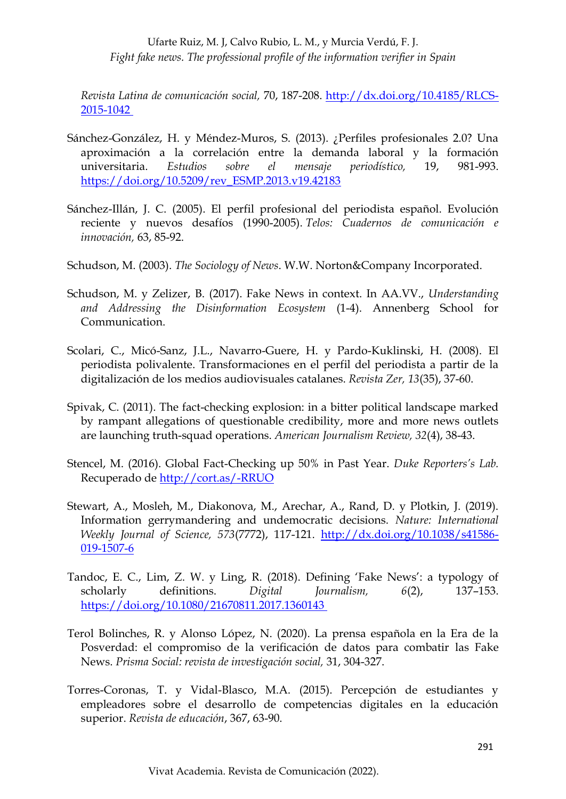*Revista Latina de comunicación social,* 70, 187-208. [http://dx.doi.org/10.4185/RLCS-](http://dx.doi.org/10.4185/RLCS-2015-1042)[2015-1042](http://dx.doi.org/10.4185/RLCS-2015-1042)

- Sánchez-González, H. y Méndez-Muros, S. (2013). ¿Perfiles profesionales 2.0? Una aproximación a la correlación entre la demanda laboral y la formación universitaria. *Estudios sobre el mensaje periodístico,* 19, 981-993. [https://doi.org/10.5209/rev\\_ESMP.2013.v19.42183](https://doi.org/10.5209/rev_ESMP.2013.v19.42183)
- Sánchez-Illán, J. C. (2005). El perfil profesional del periodista español. Evolución reciente y nuevos desafíos (1990-2005). *Telos: Cuadernos de comunicación e innovación,* 63, 85-92.
- Schudson, M. (2003). *The Sociology of News*. W.W. Norton&Company Incorporated.
- Schudson, M. y Zelizer, B. (2017). Fake News in context. In AA.VV., *Understanding and Addressing the Disinformation Ecosystem* (1-4). Annenberg School for Communication.
- Scolari, C., Micó-Sanz, J.L., Navarro-Guere, H. y Pardo-Kuklinski, H. (2008). El periodista polivalente. Transformaciones en el perfil del periodista a partir de la digitalización de los medios audiovisuales catalanes. *Revista Zer, 13*(35), 37-60.
- Spivak, C. (2011). The fact-checking explosion: in a bitter political landscape marked by rampant allegations of questionable credibility, more and more news outlets are launching truth-squad operations. *American Journalism Review, 32*(4), 38-43.
- Stencel, M. (2016). Global Fact-Checking up 50% in Past Year. *Duke Reporters's Lab.* Recuperado de<http://cort.as/-RRUO>
- Stewart, A., Mosleh, M., Diakonova, M., Arechar, A., Rand, D. y Plotkin, J. (2019). Information gerrymandering and undemocratic decisions. *Nature: International Weekly Journal of Science, 573*(7772), 117-121. [http://dx.doi.org/10.1038/s41586-](http://dx.doi.org/10.1038/s41586-019-1507-6) [019-1507-6](http://dx.doi.org/10.1038/s41586-019-1507-6)
- Tandoc, E. C., Lim, Z. W. y Ling, R. (2018). Defining 'Fake News': a typology of scholarly definitions. *Digital Journalism, 6*(2), 137–153. <https://doi.org/10.1080/21670811.2017.1360143>
- Terol Bolinches, R. y Alonso López, N. (2020). La prensa española en la Era de la Posverdad: el compromiso de la verificación de datos para combatir las Fake News. *Prisma Social: revista de investigación social,* 31, 304-327.
- Torres-Coronas, T. y Vidal-Blasco, M.A. (2015). Percepción de estudiantes y empleadores sobre el desarrollo de competencias digitales en la educación superior. *Revista de educación*, 367, 63-90.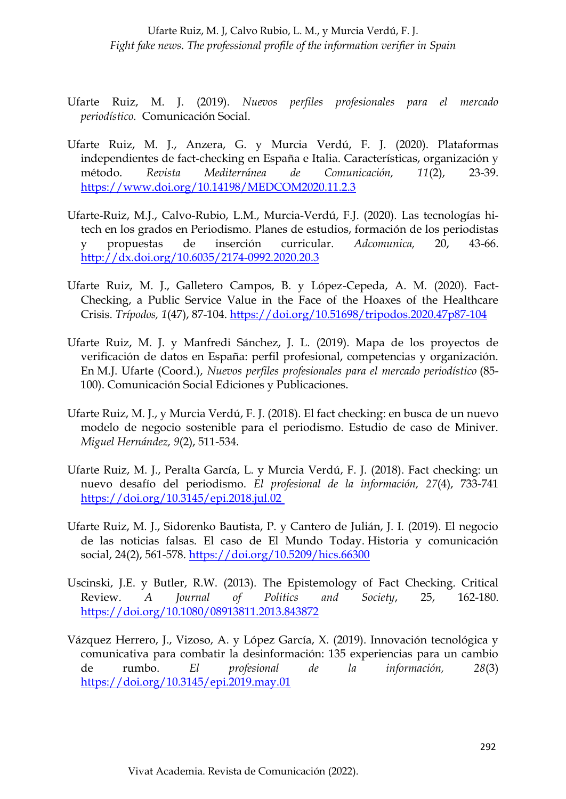- Ufarte Ruiz, M. J. (2019). *Nuevos perfiles profesionales para el mercado periodístico.* Comunicación Social.
- Ufarte Ruiz, M. J., Anzera, G. y Murcia Verdú, F. J. (2020). Plataformas independientes de fact-checking en España e Italia. Características, organización y método. *Revista Mediterránea de Comunicación, 11*(2), 23-39. <https://www.doi.org/10.14198/MEDCOM2020.11.2.3>
- Ufarte-Ruiz, M.J., Calvo-Rubio, L.M., Murcia-Verdú, F.J. (2020). Las tecnologías hitech en los grados en Periodismo. Planes de estudios, formación de los periodistas y propuestas de inserción curricular. *Adcomunica,* 20, 43-66. <http://dx.doi.org/10.6035/2174-0992.2020.20.3>
- Ufarte Ruiz, M. J., Galletero Campos, B. y López-Cepeda, A. M. (2020). Fact-Checking, a Public Service Value in the Face of the Hoaxes of the Healthcare Crisis. *Trípodos, 1*(47), 87-104.<https://doi.org/10.51698/tripodos.2020.47p87-104>
- Ufarte Ruiz, M. J. y Manfredi Sánchez, J. L. (2019). Mapa de los proyectos de verificación de datos en España: perfil profesional, competencias y organización. En M.J. Ufarte (Coord.), *Nuevos perfiles profesionales para el mercado periodístico* (85- 100). Comunicación Social Ediciones y Publicaciones.
- Ufarte Ruiz, M. J., y Murcia Verdú, F. J. (2018). El fact checking: en busca de un nuevo modelo de negocio sostenible para el periodismo. Estudio de caso de Miniver. *Miguel Hernández, 9*(2), 511-534.
- Ufarte Ruiz, M. J., Peralta García, L. y Murcia Verdú, F. J. (2018). Fact checking: un nuevo desafío del periodismo. *El profesional de la información, 27*(4), 733-741 <https://doi.org/10.3145/epi.2018.jul.02>
- Ufarte Ruiz, M. J., Sidorenko Bautista, P. y Cantero de Julián, J. I. (2019). El negocio de las noticias falsas. El caso de El Mundo Today. Historia y comunicación social, 24(2), 561-578.<https://doi.org/10.5209/hics.66300>
- Uscinski, J.E. y Butler, R.W. (2013). The Epistemology of Fact Checking. Critical Review. *A Journal of Politics and Society*, 25, 162-180. <https://doi.org/10.1080/08913811.2013.843872>
- Vázquez Herrero, J., Vizoso, A. y López García, X. (2019). Innovación tecnológica y comunicativa para combatir la desinformación: 135 experiencias para un cambio de rumbo. *El profesional de la información, 28*(3) <https://doi.org/10.3145/epi.2019.may.01>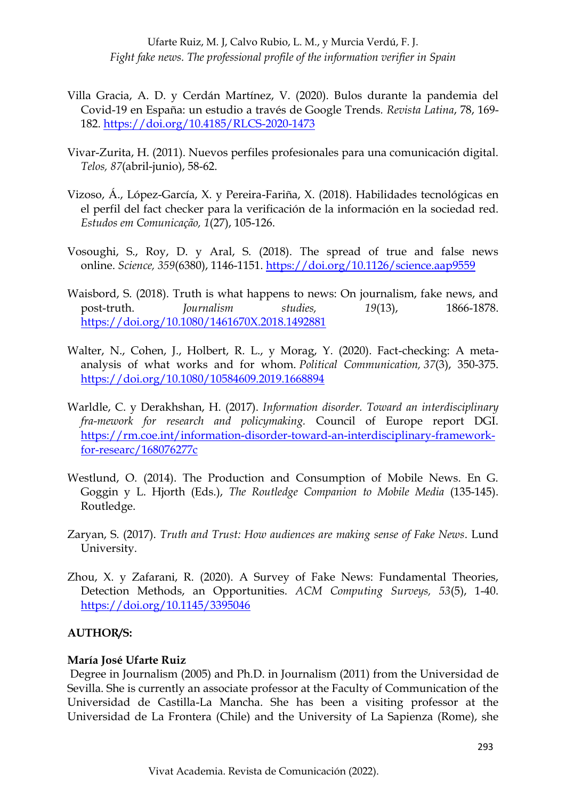- Villa Gracia, A. D. y Cerdán Martínez, V. (2020). Bulos durante la pandemia del Covid-19 en España: un estudio a través de Google Trends*. Revista Latina*, 78, 169- 182.<https://doi.org/10.4185/RLCS-2020-1473>
- Vivar-Zurita, H. (2011). Nuevos perfiles profesionales para una comunicación digital. *Telos, 87*(abril-junio), 58-62.
- Vizoso, Á., López-García, X. y Pereira-Fariña, X. (2018). Habilidades tecnológicas en el perfil del fact checker para la verificación de la información en la sociedad red. *Estudos em Comunicação, 1*(27), 105-126.
- Vosoughi, S., Roy, D. y Aral, S. (2018). The spread of true and false news online. *Science, 359*(6380), 1146-1151.<https://doi.org/10.1126/science.aap9559>
- Waisbord, S. (2018). Truth is what happens to news: On journalism, fake news, and post-truth. *Journalism studies, 19*(13), 1866-1878. <https://doi.org/10.1080/1461670X.2018.1492881>
- Walter, N., Cohen, J., Holbert, R. L., y Morag, Y. (2020). Fact-checking: A metaanalysis of what works and for whom. *Political Communication, 37*(3), 350-375. <https://doi.org/10.1080/10584609.2019.1668894>
- Warldle, C. y Derakhshan, H. (2017). *Information disorder. Toward an interdisciplinary fra-mework for research and policymaking.* Council of Europe report DGI. [https://rm.coe.int/information-disorder-toward-an-interdisciplinary-framework](https://rm.coe.int/information-disorder-toward-an-interdisciplinary-framework-for-researc/168076277c)[for-researc/168076277c](https://rm.coe.int/information-disorder-toward-an-interdisciplinary-framework-for-researc/168076277c)
- Westlund, O. (2014). The Production and Consumption of Mobile News. En G. Goggin y L. Hjorth (Eds.), *The Routledge Companion to Mobile Media* (135-145). Routledge.
- Zaryan, S. (2017). *Truth and Trust: How audiences are making sense of Fake News*. Lund University.
- Zhou, X. y Zafarani, R. (2020). A Survey of Fake News: Fundamental Theories, Detection Methods, an Opportunities. *ACM Computing Surveys, 53*(5), 1-40. <https://doi.org/10.1145/3395046>

## **AUTHOR/S:**

#### **María José Ufarte Ruiz**

Degree in Journalism (2005) and Ph.D. in Journalism (2011) from the Universidad de Sevilla. She is currently an associate professor at the Faculty of Communication of the Universidad de Castilla-La Mancha. She has been a visiting professor at the Universidad de La Frontera (Chile) and the University of La Sapienza (Rome), she